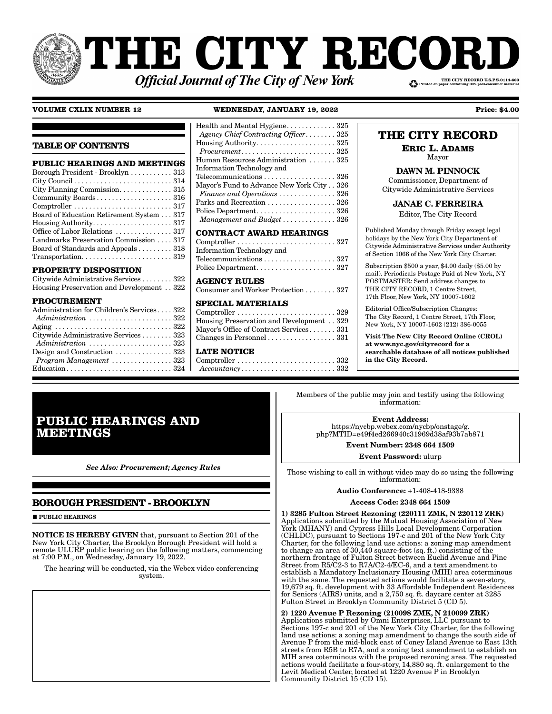# **THE CITY RECOI** THE CITY RECORD U.S.P.S.0114-660 **Official Journal of The City of New York**

### **VOLUME CXLIX NUMBER 12 WEDNESDAY, JANUARY 19, 2022 Price: \$4.00**

| <b>TABLE OF CONTENTS</b>                                                                                                                                                                                                         | Health and Mental Hygiene 325<br>Agency Chief Contracting Officer 325                                                                                                                                                                                                                                                                                            |
|----------------------------------------------------------------------------------------------------------------------------------------------------------------------------------------------------------------------------------|------------------------------------------------------------------------------------------------------------------------------------------------------------------------------------------------------------------------------------------------------------------------------------------------------------------------------------------------------------------|
| <b>PUBLIC HEARINGS AND MEETINGS</b>                                                                                                                                                                                              | Human Resources Administration  325                                                                                                                                                                                                                                                                                                                              |
| Borough President - Brooklyn 313                                                                                                                                                                                                 | Information Technology and                                                                                                                                                                                                                                                                                                                                       |
| City Council $\ldots \ldots \ldots \ldots \ldots \ldots \ldots \ldots 314$                                                                                                                                                       | Telecommunications 326                                                                                                                                                                                                                                                                                                                                           |
| City Planning Commission. 315                                                                                                                                                                                                    | Mayor's Fund to Advance New York City 326                                                                                                                                                                                                                                                                                                                        |
| Community Boards 316                                                                                                                                                                                                             | Finance and Operations $\ldots \ldots \ldots \ldots 326$                                                                                                                                                                                                                                                                                                         |
| $Comptroller \ldots \ldots \ldots \ldots \ldots \ldots \ldots \ldots 317$                                                                                                                                                        | Parks and Recreation 326                                                                                                                                                                                                                                                                                                                                         |
| Board of Education Retirement System 317                                                                                                                                                                                         | Police Department 326                                                                                                                                                                                                                                                                                                                                            |
|                                                                                                                                                                                                                                  | Management and Budget $\ldots \ldots \ldots \ldots 326$                                                                                                                                                                                                                                                                                                          |
| Office of Labor Relations  317                                                                                                                                                                                                   | <b>CONTRACT AWARD HEARINGS</b>                                                                                                                                                                                                                                                                                                                                   |
| Landmarks Preservation Commission 317                                                                                                                                                                                            | $Comptroller \ldots \ldots \ldots \ldots \ldots \ldots \ldots \ldots 327$                                                                                                                                                                                                                                                                                        |
| Board of Standards and Appeals 318                                                                                                                                                                                               | Information Technology and                                                                                                                                                                                                                                                                                                                                       |
| $Transportation. \ldots \ldots \ldots \ldots \ldots \ldots \ldots 319$                                                                                                                                                           | Telecommunications 327                                                                                                                                                                                                                                                                                                                                           |
| <b>PROPERTY DISPOSITION</b>                                                                                                                                                                                                      |                                                                                                                                                                                                                                                                                                                                                                  |
| Citywide Administrative Services 322                                                                                                                                                                                             | <b>AGENCY RULES</b>                                                                                                                                                                                                                                                                                                                                              |
| Housing Preservation and Development 322                                                                                                                                                                                         | Consumer and Worker Protection 327                                                                                                                                                                                                                                                                                                                               |
| <b>PROCUREMENT</b><br>Administration for Children's Services 322<br>Citywide Administrative Services  323<br>Design and Construction $\ldots \ldots \ldots \ldots 323$<br>$Program$ Management $\ldots \ldots \ldots \ldots 323$ | <b>SPECIAL MATERIALS</b><br>$Comptroller \ldots \ldots \ldots \ldots \ldots \ldots \ldots \ldots 329$<br>Housing Preservation and Development 329<br>Mayor's Office of Contract Services 331<br>Changes in Personnel $\ldots \ldots \ldots \ldots \ldots$ 331<br><b>LATE NOTICE</b><br>$Accountancy \ldots \ldots \ldots \ldots \ldots \ldots \ldots \ldots 332$ |

# **THE CITY RECORD**

#### **ERIC L. ADAMS** Mayor

DAWN M. PINNOCK

Commissioner, Department of Citywide Administrative Services

JANAE C. FERREIRA

Editor, The City Record

Published Monday through Friday except legal holidays by the New York City Department of Citywide Administrative Services under Authority of Section 1066 of the New York City Charter.

Subscription \$500 a year, \$4.00 daily (\$5.00 by mail). Periodicals Postage Paid at New York, NY POSTMASTER: Send address changes to THE CITY RECORD, 1 Centre Street, 17th Floor, New York, NY 10007-1602

Editorial Office/Subscription Changes: The City Record, 1 Centre Street, 17th Floor, New York, NY 10007-1602 (212) 386-0055

Visit The New City Record Online (CROL) at www.nyc.gov/cityrecord for a searchable database of all notices published in the City Record.

# **PUBLIC HEARINGS AND MEETINGS**

*See Also: Procurement; Agency Rules*

# **BOROUGH PRESIDENT - BROOKLYN**

**PUBLIC HEARINGS** 

NOTICE IS HEREBY GIVEN that, pursuant to Section 201 of the New York City Charter, the Brooklyn Borough President will hold a remote ULURP public hearing on the following matters, commencing at 7:00 P.M., on Wednesday, January 19, 2022.

The hearing will be conducted, via the Webex video conferencing system.

Members of the public may join and testify using the following information:

Event Address: https://nycbp.webex.com/nycbp/onstage/g. php?MTID=e49f4ed266940c31969d38af93b7ab871

> Event Number: 2348 664 1509 Event Password: ulurp

Those wishing to call in without video may do so using the following information:

Audio Conference: +1-408-418-9388

Access Code: 2348 664 1509

1) 3285 Fulton Street Rezoning (220111 ZMK, N 220112 ZRK) Applications submitted by the Mutual Housing Association of New York (MHANY) and Cypress Hills Local Development Corporation (CHLDC), pursuant to Sections 197-c and 201 of the New York City Charter, for the following land use actions: a zoning map amendment to change an area of 30,440 square-foot (sq. ft.) consisting of the northern frontage of Fulton Street between Euclid Avenue and Pine Street from R5/C2-3 to R7A/C2-4/EC-6, and a text amendment to establish a Mandatory Inclusionary Housing (MIH) area coterminous with the same. The requested actions would facilitate a seven-story, 19,679 sq. ft. development with 33 Affordable Independent Residences for Seniors (AIRS) units, and a 2,750 sq. ft. daycare center at 3285 Fulton Street in Brooklyn Community District 5 (CD 5).

2) 1220 Avenue P Rezoning (210098 ZMK, N 210099 ZRK) Applications submitted by Omni Enterprises, LLC pursuant to Sections 197-c and 201 of the New York City Charter, for the following land use actions: a zoning map amendment to change the south side of Avenue P from the mid-block east of Coney Island Avenue to East 13th streets from R5B to R7A, and a zoning text amendment to establish an MIH area coterminous with the proposed rezoning area. The requested actions would facilitate a four-story, 14,880 sq. ft. enlargement to the Levit Medical Center, located at 1220 Avenue P in Brooklyn Community District 15 (CD 15).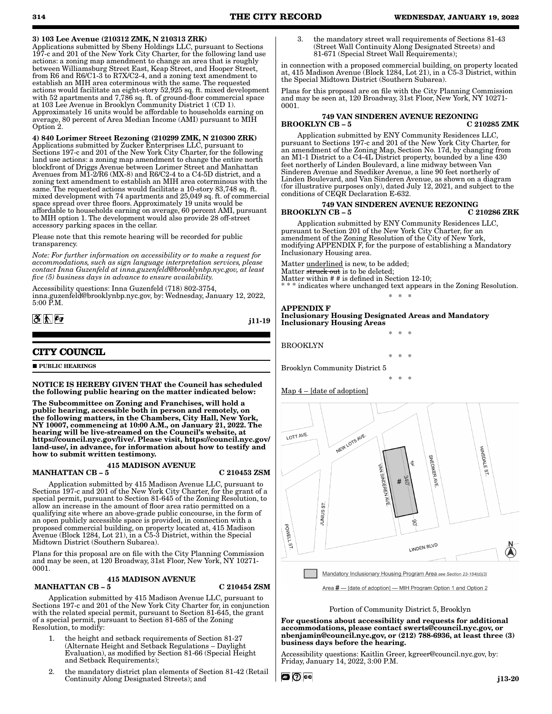Applications submitted by Sbeny Holdings LLC, pursuant to Sections 197-c and 201 of the New York City Charter, for the following land use actions: a zoning map amendment to change an area that is roughly between Williamsburg Street East, Keap Street, and Hooper Street, from R6 and R6/C1-3 to R7X/C2-4, and a zoning text amendment to establish an MIH area coterminous with the same. The requested actions would facilitate an eight-story 52,925 sq. ft. mixed development with 52 apartments and 7,786 sq. ft. of ground-floor commercial space at 103 Lee Avenue in Brooklyn Community District 1 (CD 1). Approximately 16 units would be affordable to households earning on average, 80 percent of Area Median Income (AMI) pursuant to MIH Option 2.

4) 840 Lorimer Street Rezoning (210299 ZMK, N 210300 ZRK) Applications submitted by Zucker Enterprises LLC, pursuant to Sections 197-c and 201 of the New York City Charter, for the following land use actions: a zoning map amendment to change the entire north blockfront of Driggs Avenue between Lorimer Street and Manhattan Avenues from M1-2/R6 (MX-8) and R6/C2-4 to a C4-5D district, and a zoning text amendment to establish an MIH area coterminous with the same. The requested actions would facilitate a 10-story 83,748 sq. ft. mixed development with 74 apartments and 25,049 sq. ft. of commercial space spread over three floors. Approximately 19 units would be affordable to households earning on average, 60 percent AMI, pursuant to MIH option 1. The development would also provide 28 off-street accessory parking spaces in the cellar.

Please note that this remote hearing will be recorded for public transparency.

*Note: For further information on accessibility or to make a request for accommodations, such as sign language interpretation services, please contact Inna Guzenfeld at inna.guzenfeld@brooklynbp.nyc.gov, at least five (5) business days in advance to ensure availability.*

Accessibility questions: Inna Guzenfeld (718) 802-3754, inna.guzenfeld@brooklynbp.nyc.gov, by: Wednesday, January 12, 2022, 5:00 P.M.

# $3 \,$   $\frac{1}{2}$

j11-19

# **CITY COUNCIL**

**PUBLIC HEARINGS** 

NOTICE IS HEREBY GIVEN THAT the Council has scheduled the following public hearing on the matter indicated below:

The Subcommittee on Zoning and Franchises, will hold a public hearing, accessible both in person and remotely, on the following matters, in the Chambers, City Hall, New York, NY 10007, commencing at 10:00 A.M., on January 21, 2022. The hearing will be live-streamed on the Council's website, at https://council.nyc.gov/live/. Please visit, https://council.nyc.gov/ land-use/, in advance, for information about how to testify and how to submit written testimony.

#### 415 MADISON AVENUE

MANHATTAN CB – 5 C 210453 ZSM

Application submitted by 415 Madison Avenue LLC, pursuant to Sections 197-c and 201 of the New York City Charter, for the grant of a special permit, pursuant to Section 81-645 of the Zoning Resolution, to allow an increase in the amount of floor area ratio permitted on a qualifying site where an above-grade public concourse, in the form of an open publicly accessible space is provided, in connection with a proposed commercial building, on property located at, 415 Madison Avenue (Block 1284, Lot 21), in a C5-3 District, within the Special Midtown District (Southern Subarea).

Plans for this proposal are on file with the City Planning Commission and may be seen, at 120 Broadway, 31st Floor, New York, NY 10271- 0001.

#### 415 MADISON AVENUE MANHATTAN CB – 5 C 210454 ZSM

Application submitted by 415 Madison Avenue LLC, pursuant to Sections 197-c and 201 of the New York City Charter for, in conjunction with the related special permit, pursuant to Section 81-645, the grant of a special permit, pursuant to Section 81-685 of the Zoning Resolution, to modify:

- 1. the height and setback requirements of Section 81-27 (Alternate Height and Setback Regulations – Daylight Evaluation), as modified by Section 81-66 (Special Height and Setback Requirements);
- 2. the mandatory district plan elements of Section 81-42 (Retail Continuity Along Designated Streets); and

3. the mandatory street wall requirements of Sections 81-43 (Street Wall Continuity Along Designated Streets) and 81-671 (Special Street Wall Requirements);

in connection with a proposed commercial building, on property located at, 415 Madison Avenue (Block 1284, Lot 21), in a C5-3 District, within the Special Midtown District (Southern Subarea).

Plans for this proposal are on file with the City Planning Commission and may be seen at, 120 Broadway, 31st Floor, New York, NY 10271- 0001.

#### 749 VAN SINDEREN AVENUE REZONING BROOKLYN CB-5

Application submitted by ENY Community Residences LLC, pursuant to Sections 197-c and 201 of the New York City Charter, for an amendment of the Zoning Map, Section No. 17d, by changing from an M1-1 District to a C4-4L District property, bounded by a line 430 feet northerly of Linden Boulevard, a line midway between Van Sinderen Avenue and Snediker Avenue, a line 90 feet northerly of Linden Boulevard, and Van Sinderen Avenue, as shown on a diagram (for illustrative purposes only), dated July 12, 2021, and subject to the conditions of CEQR Declaration E-632.

#### 749 VAN SINDEREN AVENUE REZONING BROOKLYN CB-5

Application submitted by ENY Community Residences LLC, pursuant to Section 201 of the New York City Charter, for an amendment of the Zoning Resolution of the City of New York, modifying APPENDIX F, for the purpose of establishing a Mandatory Inclusionary Housing area.

Matter underlined is new, to be added; Matter struck out is to be deleted;

Matter within # # is defined in Section 12-10;

indicates where unchanged text appears in the Zoning Resolution. \* \* \*

\* \* \*

\* \* \*

\* \* \*

# APPENDIX F

Inclusionary Housing Designated Areas and Mandatory Inclusionary Housing Areas

BROOKLYN

Brooklyn Community District 5

Map 4 – [date of adoption]



Area # - [date of adoption] - MIH Program Option 1 and Option 2

#### Portion of Community District 5, Brooklyn

For questions about accessibility and requests for additional accommodations, please contact swerts@council.nyc.gov, or nbenjamin@council.nyc.gov, or (212) 788-6936, at least three (3) business days before the hearing.

Accessibility questions: Kaitlin Greer, kgreer@council.nyc.gov, by: Friday, January 14, 2022, 3:00 P.M.

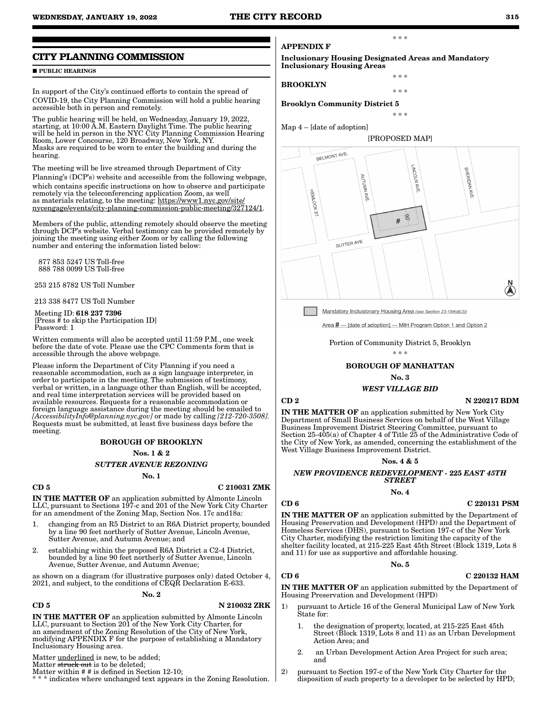#### **CITY PLANNING COMMISSION**

#### **PUBLIC HEARINGS**

In support of the City's continued efforts to contain the spread of COVID-19, the City Planning Commission will hold a public hearing accessible both in person and remotely.

The public hearing will be held, on Wednesday, January 19, 2022, starting, at 10:00 A.M. Eastern Daylight Time. The public hearing will be held in person in the NYC City Planning Commission Hearing Room, Lower Concourse, 120 Broadway, New York, NY. Masks are required to be worn to enter the building and during the hearing.

The meeting will be live streamed through Department of City Planning's (DCP's) website and accessible from the following webpage, which contains specific instructions on how to observe and participate remotely via the teleconferencing application Zoom, as well as materials relating, to the meeting: https://www1.nyc.gov/site/ nycengage/events/city-planning-commission-public-meeting/327124/1.

Members of the public, attending remotely should observe the meeting through DCP's website. Verbal testimony can be provided remotely by joining the meeting using either Zoom or by calling the following number and entering the information listed below:

 877 853 5247 US Toll-free 888 788 0099 US Toll-free

253 215 8782 US Toll Number

213 338 8477 US Toll Number

 Meeting ID: 618 237 7396 [Press # to skip the Participation ID] Password: 1

Written comments will also be accepted until 11:59 P.M., one week before the date of vote. Please use the CPC Comments form that is accessible through the above webpage.

Please inform the Department of City Planning if you need a reasonable accommodation, such as a sign language interpreter, in order to participate in the meeting. The submission of testimony, verbal or written, in a language other than English, will be accepted, and real time interpretation services will be provided based on available resources. Requests for a reasonable accommodation or foreign language assistance during the meeting should be emailed to *[AccessibilityInfo@planning.nyc.gov]* or made by calling *[212-720-3508].*  Requests must be submitted, at least five business days before the meeting.

#### BOROUGH OF BROOKLYN

Nos. 1 & 2

*SUTTER AVENUE REZONING*

#### No. 1

#### $CD 5$  C 210031 ZMK

IN THE MATTER OF an application submitted by Almonte Lincoln LLC, pursuant to Sections 197-c and 201 of the New York City Charter for an amendment of the Zoning Map, Section Nos. 17c and18a:

- 1. changing from an R5 District to an R6A District property, bounded by a line 90 feet northerly of Sutter Avenue, Lincoln Avenue, Sutter Avenue, and Autumn Avenue; and
- 2. establishing within the proposed R6A District a C2-4 District, bounded by a line 90 feet northerly of Sutter Avenue, Lincoln Avenue, Sutter Avenue, and Autumn Avenue;

as shown on a diagram (for illustrative purposes only) dated October 4, 2021, and subject, to the conditions of CEQR Declaration E-633.

#### No. 2

#### CD 5 N 210032 ZRK

IN THE MATTER OF an application submitted by Almonte Lincoln LLC, pursuant to Section 201 of the New York City Charter, for an amendment of the Zoning Resolution of the City of New York, modifying APPENDIX F for the purpose of establishing a Mandatory Inclusionary Housing area.

Matter underlined is new, to be added;

Matter struck out is to be deleted;

Matter within # # is defined in Section 12-10;

\* \* \* indicates where unchanged text appears in the Zoning Resolution.

APPENDIX F

Inclusionary Housing Designated Areas and Mandatory Inclusionary Housing Areas

\* \* \*

\* \* \*

\* \* \*

\* \* \*

#### BROOKLYN

Brooklyn Community District 5

Map 4 – [date of adoption]



Mandatory Inclusionary Housing Area (see Section 23-154(d)(3))

Area # - [date of adoption] - MIH Program Option 1 and Option 2

Portion of Community District 5, Brooklyn

\* \* \*

#### BOROUGH OF MANHATTAN

#### No. 3

#### *WEST VILLAGE BID*

#### $CD 2$  N  $220217$  BDM

IN THE MATTER OF an application submitted by New York City Department of Small Business Services on behalf of the West Village Business Improvement District Steering Committee, pursuant to Section 25-405(a) of Chapter 4 of Title  $25$  of the Administrative Code of the City of New York, as amended, concerning the establishment of the West Village Business Improvement District.

#### Nos. 4 & 5

# *NEW PROVIDENCE REDEVELOPMENT -* 225 *EAST 45TH STREET*

#### No. 4

#### CD 6 C 220131 PSM

IN THE MATTER OF an application submitted by the Department of Housing Preservation and Development (HPD) and the Department of Homeless Services (DHS), pursuant to Section 197-c of the New York City Charter, modifying the restriction limiting the capacity of the shelter facility located, at 215-225 East 45th Street (Block 1319, Lots 8 and 11) for use as supportive and affordable housing.

#### No. 5

#### $CD 6$  C 220132 HAM

IN THE MATTER OF an application submitted by the Department of Housing Preservation and Development (HPD)

- 1) pursuant to Article 16 of the General Municipal Law of New York State for:
	- the designation of property, located, at 215-225 East 45th Street (Block 1319, Lots 8 and 11) as an Urban Development Action Area; and
	- 2. an Urban Development Action Area Project for such area; and
- 2) pursuant to Section 197-c of the New York City Charter for the disposition of such property to a developer to be selected by HPD;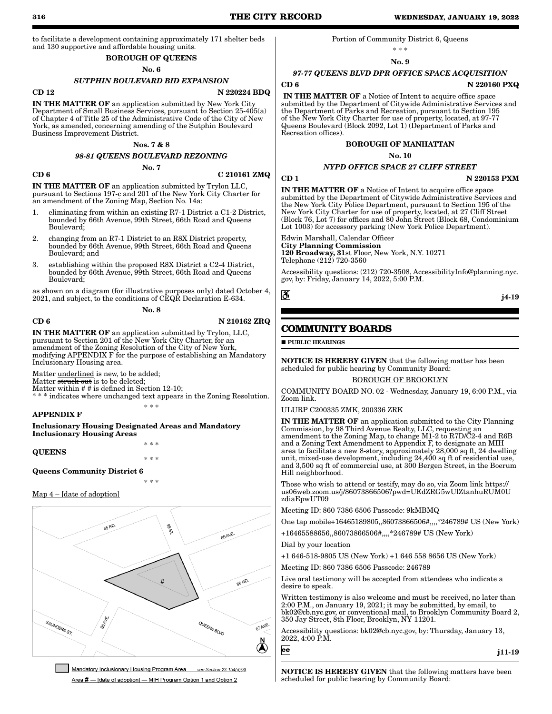to facilitate a development containing approximately 171 shelter beds and 130 supportive and affordable housing units.

# BOROUGH OF QUEENS

### No. 6

### *SUTPHIN BOULEVARD BID EXPANSION*

#### $\overline{N}$  220224 BDQ

IN THE MATTER OF an application submitted by New York City Department of Small Business Services, pursuant to Section 25-405(a) of Chapter 4 of Title 25 of the Administrative Code of the City of New York, as amended, concerning amending of the Sutphin Boulevard Business Improvement District.

#### Nos. 7 & 8

#### *98-81 QUEENS BOULEVARD REZONING*

No. 7

#### $CD 6$  C 210161 ZMQ

IN THE MATTER OF an application submitted by Trylon LLC, pursuant to Sections 197-c and 201 of the New York City Charter for an amendment of the Zoning Map, Section No. 14a:

- 1. eliminating from within an existing R7-1 District a C1-2 District, bounded by 66th Avenue, 99th Street, 66th Road and Queens Boulevard;
- 2. changing from an R7-1 District to an R8X District property, bounded by 66th Avenue, 99th Street, 66th Road and Queens Boulevard; and
- 3. establishing within the proposed R8X District a C2-4 District, bounded by 66th Avenue, 99th Street, 66th Road and Queens Boulevard;

as shown on a diagram (for illustrative purposes only) dated October 4, 2021, and subject, to the conditions of CEQR Declaration E-634.

No. 8

#### CD 6 N 210162 ZRQ

IN THE MATTER OF an application submitted by Trylon, LLC, pursuant to Section 201 of the New York City Charter, for an amendment of the Zoning Resolution of the City of New York, modifying APPENDIX F for the purpose of establishing an Mandatory Inclusionary Housing area.

Matter underlined is new, to be added;

Matter struck out is to be deleted;

Matter within # # is defined in Section 12-10; \* indicates where unchanged text appears in the Zoning Resolution. \* \* \*

#### APPENDIX F

Inclusionary Housing Designated Areas and Mandatory Inclusionary Housing Areas

QUEENS

Queens Community District 6

\* \* \*

\* \* \*

\* \* \*

#### Map 4 – [date of adoption]



Mandatory Inclusionary Housing Program Area see Section 23-154(d)(3) Area # - [date of adoption] - MIH Program Option 1 and Option 2

#### Portion of Community District 6, Queens

\* \* \*

#### No. 9

# *97-77 QUEENS BLVD DPR OFFICE SPACE ACQUISITION*

 $CD 6$  N  $220160$  PXQ

IN THE MATTER OF a Notice of Intent to acquire office space submitted by the Department of Citywide Administrative Services and the Department of Parks and Recreation, pursuant to Section 195 of the New York City Charter for use of property, located, at 97-77 Queens Boulevard (Block 2092, Lot 1) (Department of Parks and Recreation offices).

#### BOROUGH OF MANHATTAN

No. 10

### *NYPD OFFICE SPACE 27 CLIFF STREET*

CD 1 N 220153 PXM

IN THE MATTER OF a Notice of Intent to acquire office space submitted by the Department of Citywide Administrative Services and the New York City Police Department, pursuant to Section 195 of the New York City Charter for use of property, located, at 27 Cliff Street (Block 76, Lot 7) for offices and 80 John Street (Block 68, Condominium Lot 1003) for accessory parking (New York Police Department).

Edwin Marshall, Calendar Officer City Planning Commission 120 Broadway, 31st Floor, New York, N.Y. 10271 Telephone (212) 720-3560

Accessibility questions: (212) 720-3508, AccessibilityInfo@planning.nyc. gov, by: Friday, January 14, 2022, 5:00 P.M.

j4-19

# **COMMUNITY BOARDS**

**PUBLIC HEARINGS** 

NOTICE IS HEREBY GIVEN that the following matter has been scheduled for public hearing by Community Board: BOROUGH OF BROOKLYN

COMMUNITY BOARD NO. 02 - Wednesday, January 19, 6:00 P.M., via Zoom link.

ULURP C200335 ZMK, 200336 ZRK

IN THE MATTER OF an application submitted to the City Planning Commission, by 98 Third Avenue Realty, LLC, requesting an amendment to the Zoning Map, to change M1-2 to R7D/C2-4 and R6B and a Zoning Text Amendment to Appendix F, to designate an MIH area to facilitate a new 8-story, approximately 28,000 sq ft, 24 dwelling unit, mixed-use development, including 24,400 sq ft of residential use, and 3,500 sq ft of commercial use, at 300 Bergen Street, in the Boerum Hill neighborhood.

Those who wish to attend or testify, may do so, via Zoom link https:// us06web.zoom.us/j/86073866506?pwd=UEdZRG5wUlZtanhuRUM0U zdiaEpwUT09

Meeting ID: 860 7386 6506 Passcode: 9kMBMQ

One tap mobile+16465189805,,86073866506#,,,,\*246789# US (New York)

+16465588656,,86073866506#,,,,\*246789# US (New York)

Dial by your location

+1 646-518-9805 US (New York) +1 646 558 8656 US (New York)

Meeting ID: 860 7386 6506 Passcode: 246789

Live oral testimony will be accepted from attendees who indicate a desire to speak.

Written testimony is also welcome and must be received, no later than 2:00 P.M., on January 19, 2021; it may be submitted, by email, to bk02@cb.nyc.gov, or conventional mail, to Brooklyn Community Board 2, 350 Jay Street, 8th Floor, Brooklyn, NY 11201.

Accessibility questions: bk02@cb.nyc.gov, by: Thursday, January 13, 2022, 4:00 P.M.

cc

j11-19

NOTICE IS HEREBY GIVEN that the following matters have been scheduled for public hearing by Community Board: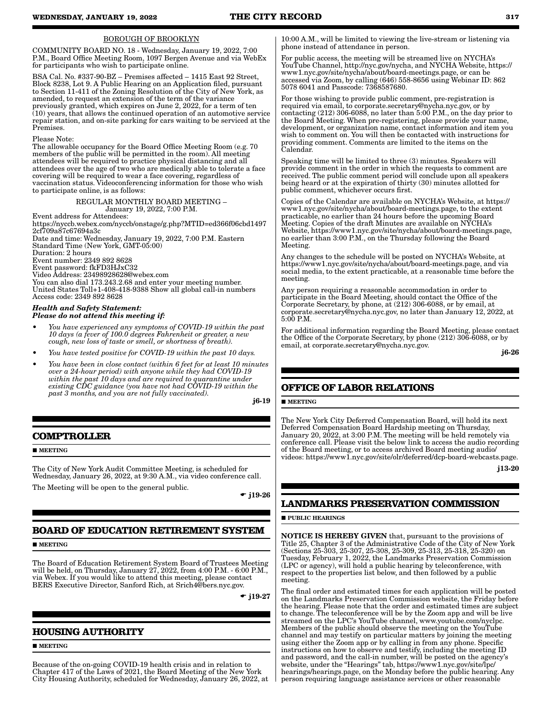## BOROUGH OF BROOKLYN

COMMUNITY BOARD NO. 18 - Wednesday, January 19, 2022, 7:00 P.M., Board Office Meeting Room, 1097 Bergen Avenue and via WebEx for participants who wish to participate online.

BSA Cal. No. #337-90-BZ – Premises affected – 1415 East 92 Street, Block 8238, Lot 9. A Public Hearing on an Application filed, pursuant to Section 11-411 of the Zoning Resolution of the City of New York, as amended, to request an extension of the term of the variance previously granted, which expires on June 2, 2022, for a term of ten (10) years, that allows the continued operation of an automotive service repair station, and on-site parking for cars waiting to be serviced at the Premises.

#### Please Note:

The allowable occupancy for the Board Office Meeting Room (e.g. 70 members of the public will be permitted in the room). All meeting attendees will be required to practice physical distancing and all attendees over the age of two who are medically able to tolerate a face covering will be required to wear a face covering, regardless of vaccination status. Videoconferencing information for those who wish to participate online, is as follows:

#### REGULAR MONTHLY BOARD MEETING – January 19, 2022, 7:00 P.M.

Event address for Attendees:

https://nyccb.webex.com/nyccb/onstage/g.php?MTID=ed366f06cbd1497 2cf709a87c67694a3c

Date and time: Wednesday, January 19, 2022, 7:00 P.M. Eastern Standard Time (New York, GMT-05:00) Duration: 2 hours

Event number: 2349 892 8628 Event password: fkFD3HJxC32

Video Address: 23498928628@webex.com

You can also dial 173.243.2.68 and enter your meeting number. United States Toll+1-408-418-9388 Show all global call-in numbers Access code: 2349 892 8628

#### *Health and Safety Statement: Please do not attend this meeting if:*

- *You have experienced any symptoms of COVID-19 within the past 10 days (a fever of 100.0 degrees Fahrenheit or greater, a new cough, new loss of taste or smell, or shortness of breath).*
- *You have tested positive for COVID-19 within the past 10 days.*
- *You have been in close contact (within 6 feet for at least 10 minutes over a 24-hour period) with anyone while they had COVID-19 within the past 10 days and are required to quarantine under existing CDC guidance (you have not had COVID-19 within the past 3 months, and you are not fully vaccinated).*

j6-19

# **COMPTROLLER**

#### **MEETING**

The City of New York Audit Committee Meeting, is scheduled for Wednesday, January 26, 2022, at 9:30 A.M., via video conference call.

The Meeting will be open to the general public.

 $\div$  j19-26

# **BOARD OF EDUCATION RETIREMENT SYSTEM**

#### **MEETING**

The Board of Education Retirement System Board of Trustees Meeting will be held, on Thursday, January 27, 2022, from 4:00 P.M. - 6:00 P.M., via Webex. If you would like to attend this meeting, please contact BERS Executive Director, Sanford Rich, at Srich4@bers.nyc.gov.

 $\bullet$  j19-27

# **HOUSING AUTHORITY**

**MEETING** 

Because of the on-going COVID-19 health crisis and in relation to Chapter 417 of the Laws of 2021, the Board Meeting of the New York City Housing Authority, scheduled for Wednesday, January 26, 2022, at 10:00 A.M., will be limited to viewing the live-stream or listening via phone instead of attendance in person.

For public access, the meeting will be streamed live on NYCHA's YouTube Channel, http://nyc.gov/nycha, and NYCHA Website, https:// www1.nyc.gov/site/nycha/about/board-meetings.page, or can be accessed via Zoom, by calling (646) 558-8656 using Webinar ID: 862 5078 6041 and Passcode: 7368587680.

For those wishing to provide public comment, pre-registration is required via email, to corporate.secretary@nycha.nyc.gov, or by contacting (212) 306-6088, no later than 5:00 P.M., on the day prior to the Board Meeting. When pre-registering, please provide your name, development, or organization name, contact information and item you wish to comment on. You will then be contacted with instructions for providing comment. Comments are limited to the items on the Calendar.

Speaking time will be limited to three (3) minutes. Speakers will provide comment in the order in which the requests to comment are received. The public comment period will conclude upon all speakers being heard or at the expiration of thirty (30) minutes allotted for public comment, whichever occurs first.

Copies of the Calendar are available on NYCHA's Website, at https:// www1.nyc.gov/site/nycha/about/board-meetings.page, to the extent practicable, no earlier than 24 hours before the upcoming Board Meeting. Copies of the draft Minutes are available on NYCHA's Website, https://www1.nyc.gov/site/nycha/about/board-meetings.page, no earlier than 3:00 P.M., on the Thursday following the Board Meeting.

Any changes to the schedule will be posted on NYCHA's Website, at https://www1.nyc.gov/site/nycha/about/board-meetings.page, and via social media, to the extent practicable, at a reasonable time before the meeting.

Any person requiring a reasonable accommodation in order to participate in the Board Meeting, should contact the Office of the Corporate Secretary, by phone, at (212) 306-6088, or by email, at corporate.secretary@nycha.nyc.gov, no later than January 12, 2022, at 5:00 P.M.

For additional information regarding the Board Meeting, please contact the Office of the Corporate Secretary, by phone (212) 306-6088, or by email, at corporate.secretary@nycha.nyc.gov.

j6-26

# **OFFICE OF LABOR RELATIONS**

#### **MEETING**

The New York City Deferred Compensation Board, will hold its next Deferred Compensation Board Hardship meeting on Thursday, January 20, 2022, at 3:00 P.M. The meeting will be held remotely via conference call. Please visit the below link to access the audio recording of the Board meeting, or to access archived Board meeting audio/ videos: https://www1.nyc.gov/site/olr/deferred/dcp-board-webcasts.page.

j13-20

# **LANDMARKS PRESERVATION COMMISSION**

**PUBLIC HEARINGS** 

NOTICE IS HEREBY GIVEN that, pursuant to the provisions of Title 25, Chapter 3 of the Administrative Code of the City of New York (Sections 25-303, 25-307, 25-308, 25-309, 25-313, 25-318, 25-320) on Tuesday, February 1, 2022, the Landmarks Preservation Commission (LPC or agency), will hold a public hearing by teleconference, with respect to the properties list below, and then followed by a public meeting.

The final order and estimated times for each application will be posted on the Landmarks Preservation Commission website, the Friday before the hearing. Please note that the order and estimated times are subject to change. The teleconference will be by the Zoom app and will be live streamed on the LPC's YouTube channel, www.youtube.com/nyclpc. Members of the public should observe the meeting on the YouTube channel and may testify on particular matters by joining the meeting using either the Zoom app or by calling in from any phone. Specific instructions on how to observe and testify, including the meeting ID and password, and the call-in number, will be posted on the agency's website, under the "Hearings" tab, https://www1.nyc.gov/site/lpc/ hearings/hearings.page, on the Monday before the public hearing. Any person requiring language assistance services or other reasonable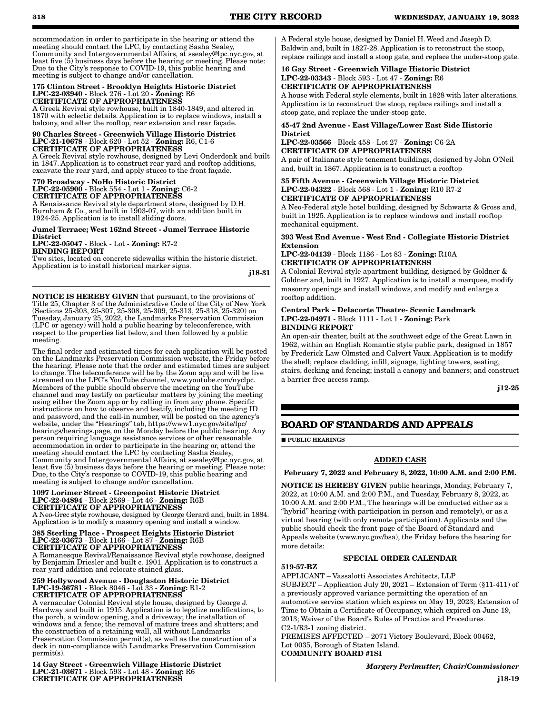accommodation in order to participate in the hearing or attend the meeting should contact the LPC, by contacting Sasha Sealey, Community and Intergovernmental Affairs, at ssealey@lpc.nyc.gov, at least five (5) business days before the hearing or meeting. Please note: Due to the City's response to COVID-19, this public hearing and meeting is subject to change and/or cancellation.

#### 175 Clinton Street - Brooklyn Heights Historic District LPC-22-03940 - Block 276 - Lot 20 - Zoning: R6 CERTIFICATE OF APPROPRIATENESS

A Greek Revival style rowhouse, built in 1840-1849, and altered in 1870 with eclectic details. Application is to replace windows, install a balcony, and alter the rooftop, rear extension and rear façade.

#### 90 Charles Street - Greenwich Village Historic District LPC-21-10678 - Block 620 - Lot 52 - Zoning: R6, C1-6 CERTIFICATE OF APPROPRIATENESS

A Greek Revival style rowhouse, designed by Levi Onderdonk and built in 1847. Application is to construct rear yard and rooftop additions, excavate the rear yard, and apply stucco to the front façade.

#### 770 Broadway - NoHo Historic District LPC-22-05900 - Block 554 - Lot 1 - Zoning: C6-2 CERTIFICATE OF APPROPRIATENESS

A Renaissance Revival style department store, designed by D.H. Burnham & Co., and built in 1903-07, with an addition built in 1924-25. Application is to install sliding doors.

# Jumel Terrace; West 162nd Street - Jumel Terrace Historic District

LPC-22-05047 - Block - Lot - Zoning: R7-2 BINDING REPORT

Two sites, located on concrete sidewalks within the historic district. Application is to install historical marker signs.

j18-31

NOTICE IS HEREBY GIVEN that pursuant, to the provisions of Title 25, Chapter 3 of the Administrative Code of the City of New York (Sections 25-303, 25-307, 25-308, 25-309, 25-313, 25-318, 25-320) on Tuesday, January 25, 2022, the Landmarks Preservation Commission (LPC or agency) will hold a public hearing by teleconference, with respect to the properties list below, and then followed by a public meeting.

The final order and estimated times for each application will be posted on the Landmarks Preservation Commission website, the Friday before the hearing. Please note that the order and estimated times are subject to change. The teleconference will be by the Zoom app and will be live streamed on the LPC's YouTube channel, www.youtube.com/nyclpc. Members of the public should observe the meeting on the YouTube channel and may testify on particular matters by joining the meeting using either the Zoom app or by calling in from any phone. Specific instructions on how to observe and testify, including the meeting ID and password, and the call-in number, will be posted on the agency's website, under the "Hearings" tab, https://www1.nyc.gov/site/lpc/ hearings/hearings.page, on the Monday before the public hearing. Any person requiring language assistance services or other reasonable accommodation in order to participate in the hearing or, attend the meeting should contact the LPC by contacting Sasha Sealey, Community and Intergovernmental Affairs, at ssealey@lpc.nyc.gov, at least five (5) business days before the hearing or meeting. Please note: Due, to the City's response to COVID-19, this public hearing and meeting is subject to change and/or cancellation.

#### 1097 Lorimer Street - Greenpoint Historic District LPC-22-04894 - Block 2569 - Lot 46 - Zoning: R6B CERTIFICATE OF APPROPRIATENESS

A Neo-Grec style rowhouse, designed by George Gerard and, built in 1884. Application is to modify a masonry opening and install a window.

#### 385 Sterling Place - Prospect Heights Historic District LPC-22-03673 - Block 1166 - Lot 87 - Zoning: R6B CERTIFICATE OF APPROPRIATENESS

A Romanesque Revival/Renaissance Revival style rowhouse, designed by Benjamin Driesler and built c. 1901. Application is to construct a rear yard addition and relocate stained glass.

#### 259 Hollywood Avenue - Douglaston Historic District LPC-19-36781 - Block 8046 - Lot 33 - Zoning: R1-2 CERTIFICATE OF APPROPRIATENESS

A vernacular Colonial Revival style house, designed by George J. Hardway and built in 1915. Application is to legalize modifications, to the porch, a window opening, and a driveway; the installation of windows and a fence; the removal of mature trees and shutters; and the construction of a retaining wall, all without Landmarks Preservation Commission permit(s), as well as the construction of a deck in non-compliance with Landmarks Preservation Commission permit(s).

14 Gay Street - Greenwich Village Historic District LPC-21-03671 - Block 593 - Lot 48 - Zoning: R6 CERTIFICATE OF APPROPRIATENESS

A Federal style house, designed by Daniel H. Weed and Joseph D. Baldwin and, built in 1827-28. Application is to reconstruct the stoop, replace railings and install a stoop gate, and replace the under-stoop gate.

# 16 Gay Street - Greenwich Village Historic District LPC-22-03343 - Block 593 - Lot 47 - Zoning: R6 CERTIFICATE OF APPROPRIATENESS

A house with Federal style elements, built in 1828 with later alterations. Application is to reconstruct the stoop, replace railings and install a stoop gate, and replace the under-stoop gate.

## 45-47 2nd Avenue - East Village/Lower East Side Historic **District**

LPC-22-03566 - Block 458 - Lot 27 - Zoning: C6-2A CERTIFICATE OF APPROPRIATENESS

A pair of Italianate style tenement buildings, designed by John O'Neil and, built in 1867. Application is to construct a rooftop

#### 35 Fifth Avenue - Greenwich Village Historic District LPC-22-04322 - Block 568 - Lot 1 - Zoning: R10 R7-2 CERTIFICATE OF APPROPRIATENESS

A Neo-Federal style hotel building, designed by Schwartz & Gross and, built in 1925. Application is to replace windows and install rooftop mechanical equipment.

### 393 West End Avenue - West End - Collegiate Historic District Extension

LPC-22-04139 - Block 1186 - Lot 83 - Zoning: R10A CERTIFICATE OF APPROPRIATENESS

A Colonial Revival style apartment building, designed by Goldner & Goldner and, built in 1927. Application is to install a marquee, modify masonry openings and install windows, and modify and enlarge a rooftop addition.

#### Central Park – Delacorte Theatre- Scenic Landmark LPC-22-04971 - Block 1111 - Lot 1 - Zoning: Park BINDING REPORT

An open-air theater, built at the southwest edge of the Great Lawn in 1962, within an English Romantic style public park, designed in 1857 by Frederick Law Olmsted and Calvert Vaux. Application is to modify the shell; replace cladding, infill, signage, lighting towers, seating, stairs, decking and fencing; install a canopy and banners; and construct a barrier free access ramp.

j12-25

# **BOARD OF STANDARDS AND APPEALS**

**PUBLIC HEARINGS** 

# ADDED CASE

February 7, 2022 and February 8, 2022, 10:00 A.M. and 2:00 P.M.

NOTICE IS HEREBY GIVEN public hearings, Monday, February 7, 2022, at 10:00 A.M. and 2:00 P.M., and Tuesday, February 8, 2022, at 10:00 A.M. and 2:00 P.M., The hearings will be conducted either as a "hybrid" hearing (with participation in person and remotely), or as a virtual hearing (with only remote participation). Applicants and the public should check the front page of the Board of Standard and Appeals website (www.nyc.gov/bsa), the Friday before the hearing for more details:

# SPECIAL ORDER CALENDAR

519-57-BZ

APPLICANT – Vassalotti Associates Architects, LLP SUBJECT – Application July 20, 2021 – Extension of Term (§11-411) of a previously approved variance permitting the operation of an automotive service station which expires on May 19, 2023; Extension of Time to Obtain a Certificate of Occupancy, which expired on June 19, 2013; Waiver of the Board's Rules of Practice and Procedures. C2-1/R3-1 zoning district.

PREMISES AFFECTED – 2071 Victory Boulevard, Block 00462, Lot 0035, Borough of Staten Island. COMMUNITY BOARD #1SI

*Margery Perlmutter, Chair/Commissioner*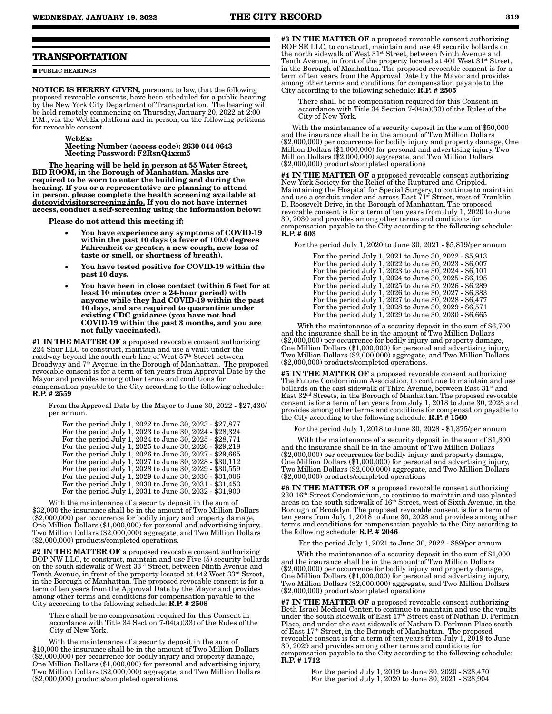## **TRANSPORTATION**

**PUBLIC HEARINGS** 

NOTICE IS HEREBY GIVEN, pursuant to law, that the following proposed revocable consents, have been scheduled for a public hearing by the New York City Department of Transportation. The hearing will be held remotely commencing on Thursday, January 20, 2022 at 2:00 P.M., via the WebEx platform and in person, on the following petitions for revocable consent.

#### WebEx: Meeting Number (access code): 2630 044 0643 Meeting Password: F2RsnQ4xzm5

The hearing will be held in person at 55 Water Street, BID ROOM, in the Borough of Manhattan. Masks are required to be worn to enter the building and during the hearing. If you or a representative are planning to attend in person, please complete the health screening available at dotcovidvisitorscreening.info. If you do not have internet access, conduct a self-screening using the information below:

Please do not attend this meeting if:

- You have experience any symptoms of COVID-19 within the past 10 days (a fever of 100.0 degrees Fahrenheit or greater, a new cough, new loss of taste or smell, or shortness of breath).
- You have tested positive for COVID-19 within the past 10 days.
- You have been in close contact (within 6 feet for at least 10 minutes over a 24-hour period) with anyone while they had COVID-19 within the past 10 days, and are required to quarantine under existing CDC guidance (you have not had COVID-19 within the past 3 months, and you are not fully vaccinated).

#1 IN THE MATTER OF a proposed revocable consent authorizing 224 Shur LLC to construct, maintain and use a vault under the roadway beyond the south curb line of West 57<sup>th</sup> Street between Broadway and  $7<sup>th</sup>$  Avenue, in the Borough of Manhattan. The proposed revocable consent is for a term of ten years from Approval Date by the Mayor and provides among other terms and conditions for compensation payable to the City according to the following schedule: R.P. # 2559

From the Approval Date by the Mayor to June 30, 2022 - \$27,430/ per annum.

For the period July 1, 2022 to June 30, 2023 - \$27,877 For the period July 1, 2023 to June 30, 2024 - \$28,324 For the period July 1, 2024 to June 30, 2025 - \$28,771 For the period July 1, 2025 to June 30, 2026 - \$29,218 For the period July 1, 2026 to June 30, 2027 - \$29,665 For the period July 1, 2027 to June 30, 2028 - \$30,112 For the period July 1, 2028 to June 30, 2029 - \$30,559 For the period July 1, 2029 to June 30, 2030 - \$31,006 For the period July 1, 2030 to June 30, 2031 - \$31,453 For the period July 1, 2031 to June 30, 2032 - \$31,900

With the maintenance of a security deposit in the sum of \$32,000 the insurance shall be in the amount of Two Million Dollars (\$2,000,000) per occurrence for bodily injury and property damage, One Million Dollars (\$1,000,000) for personal and advertising injury, Two Million Dollars (\$2,000,000) aggregate, and Two Million Dollars (\$2,000,000) products/completed operations.

#2 IN THE MATTER OF a proposed revocable consent authorizing BOP NW LLC, to construct, maintain and use Five (5) security bollards on the south sidewalk of West 33rd Street, between Ninth Avenue and Tenth Avenue, in front of the property located at 442 West 33<sup>rd</sup> Street, in the Borough of Manhattan. The proposed revocable consent is for a term of ten years from the Approval Date by the Mayor and provides among other terms and conditions for compensation payable to the City according to the following schedule:  $\hat{R}$ ,  $\hat{P}$ ,  $\hat{H}$  2508

There shall be no compensation required for this Consent in accordance with Title 34 Section 7-04(a)(33) of the Rules of the City of New York.

With the maintenance of a security deposit in the sum of \$10,000 the insurance shall be in the amount of Two Million Dollars (\$2,000,000) per occurrence for bodily injury and property damage, One Million Dollars (\$1,000,000) for personal and advertising injury, Two Million Dollars (\$2,000,000) aggregate, and Two Million Dollars (\$2,000,000) products/completed operations.

#3 IN THE MATTER OF a proposed revocable consent authorizing BOP SE LLC, to construct, maintain and use 49 security bollards on the north sidewalk of West 31st Street, between Ninth Avenue and Tenth Avenue, in front of the property located at 401 West  $31^{st}$  Street, in the Borough of Manhattan. The proposed revocable consent is for a term of ten years from the Approval Date by the Mayor and provides among other terms and conditions for compensation payable to the City according to the following schedule: R.P. # 2505

There shall be no compensation required for this Consent in accordance with Title 34 Section 7-04(a)(33) of the Rules of the City of New York.

With the maintenance of a security deposit in the sum of \$50,000 and the insurance shall be in the amount of Two Million Dollars (\$2,000,000) per occurrence for bodily injury and property damage, One Million Dollars (\$1,000,000) for personal and advertising injury, Two Million Dollars (\$2,000,000) aggregate, and Two Million Dollars (\$2,000,000) products/completed operations

#4 IN THE MATTER OF a proposed revocable consent authorizing New York Society for the Relief of the Ruptured and Crippled, Maintaining the Hospital for Special Surgery, to continue to maintain and use a conduit under and across East 71<sup>st</sup> Street, west of Franklin D. Roosevelt Drive, in the Borough of Manhattan. The proposed revocable consent is for a term of ten years from July  $\hat{1}$ ,  $2020$  to June 30, 2030 and provides among other terms and conditions for compensation payable to the City according to the following schedule: R.P. # 603

For the period July 1, 2020 to June 30, 2021 - \$5,819/per annum

| For the period July 1, 2021 to June 30, 2022 - \$5,913 |  |
|--------------------------------------------------------|--|
| For the period July 1, 2022 to June 30, 2023 - \$6,007 |  |
| For the period July 1, 2023 to June 30, 2024 - \$6,101 |  |
| For the period July 1, 2024 to June 30, 2025 - \$6,195 |  |
| For the period July 1, 2025 to June 30, 2026 - \$6,289 |  |
| For the period July 1, 2026 to June 30, 2027 - \$6,383 |  |
| For the period July 1, 2027 to June 30, 2028 - \$6,477 |  |
| For the period July 1, 2028 to June 30, 2029 - \$6,571 |  |
| For the period July 1, 2029 to June 30, 2030 - \$6,665 |  |
|                                                        |  |

With the maintenance of a security deposit in the sum of \$6,700 and the insurance shall be in the amount of Two Million Dollars (\$2,000,000) per occurrence for bodily injury and property damage, One Million Dollars (\$1,000,000) for personal and advertising injury, Two Million Dollars (\$2,000,000) aggregate, and Two Million Dollars (\$2,000,000) products/completed operations.

#5 IN THE MATTER OF a proposed revocable consent authorizing The Future Condominium Association, to continue to maintain and use bollards on the east sidewalk of Third Avenue, between East 31<sup>st</sup> and East 32nd Streets, in the Borough of Manhattan. The proposed revocable consent is for a term of ten years from July 1, 2018 to June 30, 2028 and provides among other terms and conditions for compensation payable to the City according to the following schedule: R.P. # 1560

For the period July 1, 2018 to June 30, 2028 - \$1,375/per annum

With the maintenance of a security deposit in the sum of \$1,300 and the insurance shall be in the amount of Two Million Dollars (\$2,000,000) per occurrence for bodily injury and property damage, One Million Dollars (\$1,000,000) for personal and advertising injury, Two Million Dollars (\$2,000,000) aggregate, and Two Million Dollars (\$2,000,000) products/completed operations

#6 IN THE MATTER OF a proposed revocable consent authorizing 230 16th Street Condominium, to continue to maintain and use planted areas on the south sidewalk of 16<sup>th</sup> Street, west of Sixth Avenue, in the Borough of Brooklyn. The proposed revocable consent is for a term of ten years from July 1, 2018 to June 30, 2028 and provides among other terms and conditions for compensation payable to the City according to the following schedule: R.P. # 2046

For the period July 1, 2021 to June 30, 2022 - \$89/per annum

With the maintenance of a security deposit in the sum of \$1,000 and the insurance shall be in the amount of Two Million Dollars (\$2,000,000) per occurrence for bodily injury and property damage, One Million Dollars (\$1,000,000) for personal and advertising injury, Two Million Dollars (\$2,000,000) aggregate, and Two Million Dollars (\$2,000,000) products/completed operations

#7 IN THE MATTER OF a proposed revocable consent authorizing Beth Israel Medical Center, to continue to maintain and use the vaults under the south sidewalk of East 17<sup>th</sup> Street east of Nathan D. Perlman Place, and under the east sidewalk of Nathan D. Perlman Place south of East 17th Street, in the Borough of Manhattan. The proposed revocable consent is for a term of ten years from July 1, 2019 to June 30, 2029 and provides among other terms and conditions for compensation payable to the City according to the following schedule: R.P. # 1712

> For the period July 1, 2019 to June 30, 2020 - \$28,470 For the period July 1, 2020 to June 30, 2021 - \$28,904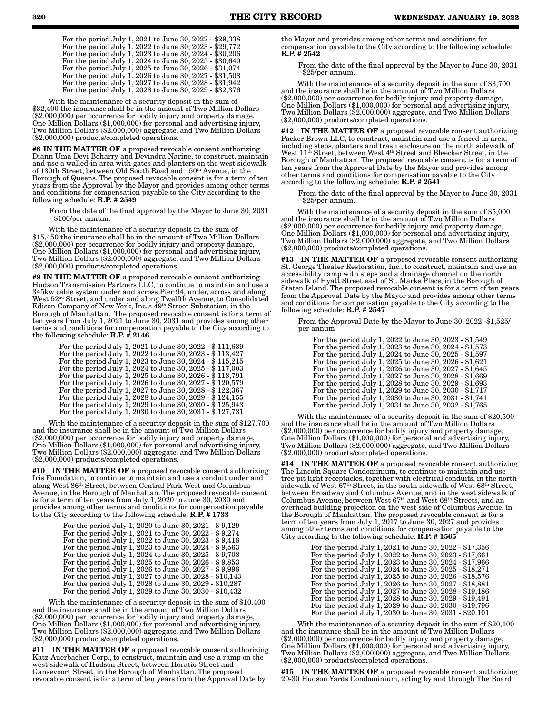| For the period July 1, 2021 to June 30, 2022 - \$29,338 |
|---------------------------------------------------------|
| For the period July 1, 2022 to June 30, 2023 - \$29,772 |
| For the period July 1, 2023 to June 30, 2024 - \$30,206 |
| For the period July 1, 2024 to June 30, 2025 - \$30,640 |
| For the period July 1, 2025 to June 30, 2026 - \$31,074 |
| For the period July 1, 2026 to June 30, 2027 - \$31,508 |
| For the period July 1, 2027 to June 30, 2028 - \$31,942 |
| For the period July 1, 2028 to June 30, 2029 - \$32,376 |

With the maintenance of a security deposit in the sum of \$32,400 the insurance shall be in the amount of Two Million Dollars (\$2,000,000) per occurrence for bodily injury and property damage, One Million Dollars (\$1,000,000) for personal and advertising injury, Two Million Dollars (\$2,000,000) aggregate, and Two Million Dollars (\$2,000,000) products/completed operations.

#8 IN THE MATTER OF a proposed revocable consent authorizing Diann Uma Devi Beharry and Devindra Narine, to construct, maintain and use a walled-in area with gates and planters on the west sidewalk of 130th Street, between Old South Road and 150th Avenue, in the Borough of Queens. The proposed revocable consent is for a term of ten years from the Approval by the Mayor and provides among other terms and conditions for compensation payable to the City according to the following schedule: R.P. # 2549

From the date of the final approval by the Mayor to June 30, 2031 - \$100/per annum.

With the maintenance of a security deposit in the sum of \$15,450 the insurance shall be in the amount of Two Million Dollars (\$2,000,000) per occurrence for bodily injury and property damage, One Million Dollars (\$1,000,000) for personal and advertising injury, Two Million Dollars (\$2,000,000) aggregate, and Two Million Dollars (\$2,000,000) products/completed operations.

#9 IN THE MATTER OF a proposed revocable consent authorizing Hudson Transmission Partners LLC, to continue to maintain and use a 345kw cable system under and across Pier 94, under, across and along West 52nd Street, and under and along Twelfth Avenue, to Consolidated Edison Company of New York, Inc.'s 49th Street Substation, in the Borough of Manhattan. The proposed revocable consent is for a term of ten years from July 1, 2021 to June 30, 2031 and provides among other terms and conditions for compensation payable to the City according to the following schedule:  $R.P. \# 2146$ 

| For the period July 1, 2021 to June 30, 2022 - \$ 111,639 |
|-----------------------------------------------------------|
| For the period July 1, 2022 to June 30, 2023 - \$ 113,427 |
| For the period July 1, 2023 to June 30, 2024 - \$ 115,215 |
| For the period July 1, 2024 to June 30, 2025 - \$ 117,003 |
| For the period July 1, 2025 to June 30, 2026 - \$ 118,791 |
| For the period July 1, 2026 to June 30, 2027 - \$ 120,579 |
| For the period July 1, 2027 to June 30, 2028 - \$ 122,367 |
| For the period July 1, 2028 to June 30, 2029 - \$ 124,155 |
| For the period July 1, 2029 to June 30, 2030 - \$ 125,943 |
| For the period July 1, 2030 to June 30, 2031 - \$ 127,731 |
|                                                           |

With the maintenance of a security deposit in the sum of \$127,700 and the insurance shall be in the amount of Two Million Dollars (\$2,000,000) per occurrence for bodily injury and property damage, One Million Dollars (\$1,000,000) for personal and advertising injury, Two Million Dollars (\$2,000,000) aggregate, and Two Million Dollars (\$2,000,000) products/completed operations.

#10 IN THE MATTER OF a proposed revocable consent authorizing Iris Foundation, to continue to maintain and use a conduit under and along West 86th Street, between Central Park West and Columbus Avenue, in the Borough of Manhattan. The proposed revocable consent is for a term of ten years from July 1, 2020 to June 30, 2030 and provides among other terms and conditions for compensation payable to the City according to the following schedule: R.P. # 1733

| For the period July 1, 2020 to June 30, 2021 - \$9,129  |
|---------------------------------------------------------|
| For the period July 1, 2021 to June 30, 2022 - \$9,274  |
| For the period July 1, 2022 to June 30, 2023 - \$9,418  |
| For the period July 1, 2023 to June 30, 2024 - \$9,563  |
| For the period July 1, 2024 to June 30, 2025 - \$9,708  |
| For the period July 1, 2025 to June 30, 2026 - $$9,853$ |
| For the period July 1, 2026 to June 30, 2027 - \$9,998  |
| For the period July 1, 2027 to June 30, 2028 - \$10,143 |
| For the period July 1, 2028 to June 30, 2029 - \$10,287 |
| For the period July 1, 2029 to June 30, 2030 - \$10,432 |

With the maintenance of a security deposit in the sum of \$10,400 and the insurance shall be in the amount of Two Million Dollars (\$2,000,000) per occurrence for bodily injury and property damage, One Million Dollars (\$1,000,000) for personal and advertising injury, Two Million Dollars (\$2,000,000) aggregate, and Two Million Dollars (\$2,000,000) products/completed operations.

#11 IN THE MATTER OF a proposed revocable consent authorizing Katz-Auerbacher Corp., to construct, maintain and use a ramp on the west sidewalk of Hudson Street, between Horatio Street and Gansevoort Street, in the Borough of Manhattan. The proposed revocable consent is for a term of ten years from the Approval Date by

the Mayor and provides among other terms and conditions for compensation payable to the City according to the following schedule: R.P. # 2542

From the date of the final approval by the Mayor to June 30, 2031 - \$25/per annum.

With the maintenance of a security deposit in the sum of \$3,700 and the insurance shall be in the amount of Two Million Dollars (\$2,000,000) per occurrence for bodily injury and property damage, One Million Dollars (\$1,000,000) for personal and advertising injury, Two Million Dollars (\$2,000,000) aggregate, and Two Million Dollars (\$2,000,000) products/completed operations.

#12 IN THE MATTER OF a proposed revocable consent authorizing Packer Brown LLC, to construct, maintain and use a fenced-in area, including steps, planters and trash enclosure on the north sidewalk of West  $11<sup>th</sup>$  Street, between West  $4<sup>th</sup>$  Street and Bleecker Street, in the Borough of Manhattan. The proposed revocable consent is for a term of ten years from the Approval Date by the Mayor and provides among other terms and conditions for compensation payable to the City according to the following schedule: R.P. # 2541

From the date of the final approval by the Mayor to June 30, 2031 - \$25/per annum.

With the maintenance of a security deposit in the sum of \$5,000 and the insurance shall be in the amount of Two Million Dollars (\$2,000,000) per occurrence for bodily injury and property damage, One Million Dollars (\$1,000,000) for personal and advertising injury, Two Million Dollars (\$2,000,000) aggregate, and Two Million Dollars (\$2,000,000) products/completed operations.

#13 IN THE MATTER OF a proposed revocable consent authorizing St. George Theater Restoration, Inc., to construct, maintain and use an accessibility ramp with steps and a drainage channel on the north sidewalk of Hyatt Street east of St. Marks Place, in the Borough of Staten Island. The proposed revocable consent is for a term of ten years from the Approval Date by the Mayor and provides among other terms and conditions for compensation payable to the City according to the following schedule:  $\mathbf{R}.\dot{\mathbf{P}}$ . # 2547

From the Approval Date by the Mayor to June 30, 2022 -\$1,525/ per annum

For the period July 1, 2022 to June 30, 2023 - \$1,549 For the period July 1, 2023 to June 30, 2024 - \$1,573 For the period July 1, 2024 to June 30, 2025 - \$1,597 For the period July 1, 2025 to June 30, 2026 - \$1,621 For the period July 1, 2026 to June 30, 2027 - \$1,645 For the period July 1, 2027 to June 30, 2028 - \$1,669 For the period July 1, 2028 to June 30, 2029 - \$1,693 For the period July 1, 2029 to June 30, 2030 - \$1,717 For the period July 1, 2030 to June 30, 2031 - \$1,741 For the period July 1, 2031 to June 30, 2032 - \$1,765

With the maintenance of a security deposit in the sum of \$20,500 and the insurance shall be in the amount of Two Million Dollars (\$2,000,000) per occurrence for bodily injury and property damage, One Million Dollars (\$1,000,000) for personal and advertising injury, Two Million Dollars (\$2,000,000) aggregate, and Two Million Dollars (\$2,000,000) products/completed operations.

**#14 IN THE MATTER OF** a proposed revocable consent authorizing The Lincoln Square Condominium, to continue to maintain and use tree pit light receptacles, together with electrical conduits, in the north sidewalk of West 67<sup>th</sup> Street, in the south sidewalk of West 68<sup>th</sup> Street, between Broadway and Columbus Avenue, and in the west sidewalk of Columbus Avenue, between West 67th and West 68th Streets, and an overhead building projection on the west side of Columbus Avenue, in the Borough of Manhattan. The proposed revocable consent is for a term of ten years from July 1, 2017 to June 30, 2027 and provides among other terms and conditions for compensation payable to the City according to the following schedule:  $\mathbf{R}.\mathbf{P}.\# \mathbf{1565}$ 

| For the period July 1, 2021 to June 30, 2022 - \$17,356 |
|---------------------------------------------------------|
| For the period July 1, 2022 to June 30, 2023 - \$17,661 |
| For the period July 1, 2023 to June 30, 2024 - \$17,966 |
| For the period July 1, 2024 to June 30, 2025 - \$18,271 |
| For the period July 1, 2025 to June 30, 2026 - \$18,576 |
| For the period July 1, 2026 to June 30, 2027 - \$18,881 |
| For the period July 1, 2027 to June 30, 2028 - \$19,186 |
| For the period July 1, 2028 to June 30, 2029 - \$19,491 |
| For the period July 1, 2029 to June 30, 2030 - \$19,796 |
| For the period July 1, 2030 to June 30, 2031 - \$20,101 |

With the maintenance of a security deposit in the sum of \$20,100 and the insurance shall be in the amount of Two Million Dollars (\$2,000,000) per occurrence for bodily injury and property damage, One Million Dollars (\$1,000,000) for personal and advertising injury, Two Million Dollars (\$2,000,000) aggregate, and Two Million Dollars (\$2,000,000) products/completed operations.

#15 IN THE MATTER OF a proposed revocable consent authorizing 20-30 Hudson Yards Condominium, acting by and through The Board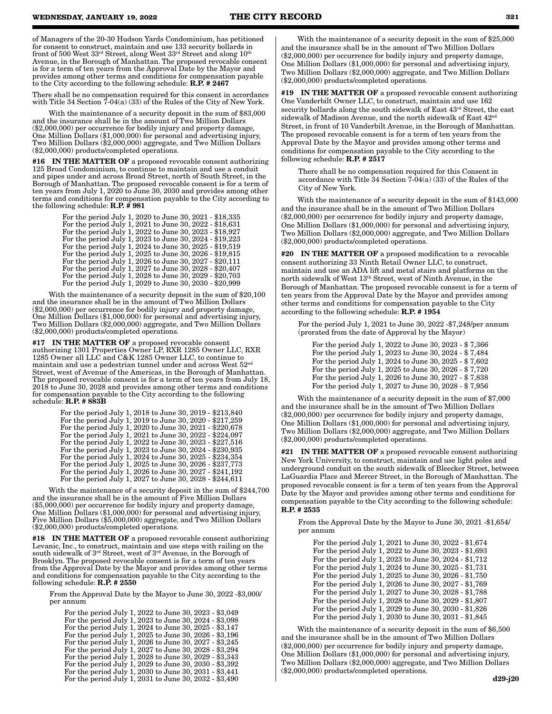of Managers of the 20-30 Hudson Yards Condominium, has petitioned for consent to construct, maintain and use 133 security bollards in front of 500 West 33rd Street, along West 33rd Street and along 10th Avenue, in the Borough of Manhattan. The proposed revocable consent is for a term of ten years from the Approval Date by the Mayor and provides among other terms and conditions for compensation payable to the City according to the following schedule: **R.P.** # 2467

There shall be no compensation required for this consent in accordance with Title 34 Section  $7-04(a)$  (33) of the Rules of the City of New York.

With the maintenance of a security deposit in the sum of \$83,000 and the insurance shall be in the amount of Two Million Dollars (\$2,000,000) per occurrence for bodily injury and property damage, One Million Dollars (\$1,000,000) for personal and advertising injury, Two Million Dollars (\$2,000,000) aggregate, and Two Million Dollars (\$2,000,000) products/completed operations.

#16 IN THE MATTER OF a proposed revocable consent authorizing 125 Broad Condominium, to continue to maintain and use a conduit and pipes under and across Broad Street, north of South Street, in the Borough of Manhattan. The proposed revocable consent is for a term of ten years from July 1, 2020 to June 30, 2030 and provides among other terms and conditions for compensation payable to the City according to the following schedule: R.P. # 981

> For the period July 1, 2020 to June 30, 2021 - \$18,335 For the period July 1, 2021 to June 30, 2022 - \$18,631 For the period July 1, 2022 to June 30, 2023 - \$18,927 For the period July 1, 2023 to June 30, 2024 - \$19,223 For the period July 1, 2024 to June 30, 2025 - \$19,519 For the period July 1, 2025 to June 30, 2026 - \$19,815 For the period July 1, 2026 to June 30, 2027 - \$20,111 For the period July 1, 2027 to June 30, 2028 - \$20,407 For the period July 1, 2028 to June 30, 2029 - \$20,703 For the period July 1, 2029 to June 30, 2030 - \$20,999

With the maintenance of a security deposit in the sum of \$20,100 and the insurance shall be in the amount of Two Million Dollars (\$2,000,000) per occurrence for bodily injury and property damage, One Million Dollars (\$1,000,000) for personal and advertising injury, Two Million Dollars (\$2,000,000) aggregate, and Two Million Dollars (\$2,000,000) products/completed operations.

#17 IN THE MATTER OF a proposed revocable consent authorizing 1301 Properties Owner LP, RXR 1285 Owner LLC, RXR 1285 Owner all LLC and C&K 1285 Owner LLC, to continue to maintain and use a pedestrian tunnel under and across West 52nd Street, west of Avenue of the Americas, in the Borough of Manhattan. The proposed revocable consent is for a term of ten years from July 18, 2018 to June 30, 2028 and provides among other terms and conditions for compensation payable to the City according to the following schedule: R.P. # 883B

| For the period July 1, 2018 to June 30, 2019 - \$213,840 |
|----------------------------------------------------------|
| For the period July 1, 2019 to June 30, 2020 - \$217,259 |
| For the period July 1, 2020 to June 30, 2021 - \$220,678 |
| For the period July 1, 2021 to June 30, 2022 - \$224,097 |
| For the period July 1, 2022 to June 30, 2023 - \$227,516 |
| For the period July 1, 2023 to June 30, 2024 - \$230,935 |
| For the period July 1, 2024 to June 30, 2025 - \$234,354 |
| For the period July 1, 2025 to June 30, 2026 - \$237,773 |
| For the period July 1, 2026 to June 30, 2027 - \$241,192 |
| For the period July 1, 2027 to June 30, 2028 - \$244,611 |

With the maintenance of a security deposit in the sum of \$244,700 and the insurance shall be in the amount of Five Million Dollars (\$5,000,000) per occurrence for bodily injury and property damage, One Million Dollars (\$1,000,000) for personal and advertising injury, Five Million Dollars (\$5,000,000) aggregate, and Two Million Dollars (\$2,000,000) products/completed operations.

**#18** IN THE MATTER OF a proposed revocable consent authorizing Levanic, Inc., to construct, maintain and use steps with railing on the south sidewalk of 3rd Street, west of 3rd Avenue, in the Borough of Brooklyn. The proposed revocable consent is for a term of ten years from the Approval Date by the Mayor and provides among other terms and conditions for compensation payable to the City according to the following schedule:  $R.\overline{P}$ . # 2550

From the Approval Date by the Mayor to June 30, 2022 -\$3,000/ per annum

For the period July 1, 2022 to June 30, 2023 - \$3,049 For the period July 1, 2023 to June 30, 2024 - \$3,098 For the period July 1, 2024 to June 30, 2025 - \$3,147 For the period July 1, 2025 to June 30, 2026 - \$3,196 For the period July 1, 2026 to June 30, 2027 - \$3,245 For the period July 1, 2027 to June 30, 2028 - \$3,294 For the period July 1, 2028 to June 30, 2029 - \$3,343 For the period July 1, 2029 to June 30, 2030 - \$3,392 For the period July 1, 2030 to June 30, 2031 - \$3,441 For the period July 1, 2031 to June 30, 2032 - \$3,490

With the maintenance of a security deposit in the sum of \$25,000 and the insurance shall be in the amount of Two Million Dollars (\$2,000,000) per occurrence for bodily injury and property damage, One Million Dollars (\$1,000,000) for personal and advertising injury, Two Million Dollars (\$2,000,000) aggregate, and Two Million Dollars (\$2,000,000) products/completed operations.

#19 IN THE MATTER OF a proposed revocable consent authorizing One Vanderbilt Owner LLC, to construct, maintain and use 162 security bollards along the south sidewalk of East 43rd Street, the east sidewalk of Madison Avenue, and the north sidewalk of East  $42^{\text{nd}}$ Street, in front of 10 Vanderbilt Avenue, in the Borough of Manhattan. The proposed revocable consent is for a term of ten years from the Approval Date by the Mayor and provides among other terms and conditions for compensation payable to the City according to the following schedule: R.P. # 2517

There shall be no compensation required for this Consent in accordance with Title 34 Section 7-04(a) (33) of the Rules of the City of New York.

With the maintenance of a security deposit in the sum of \$143,000 and the insurance shall be in the amount of Two Million Dollars (\$2,000,000) per occurrence for bodily injury and property damage, One Million Dollars (\$1,000,000) for personal and advertising injury, Two Million Dollars (\$2,000,000) aggregate, and Two Million Dollars (\$2,000,000) products/completed operations.

#20 IN THE MATTER OF a proposed modification to a revocable consent authorizing 33 Ninth Retail Owner LLC, to construct, maintain and use an ADA lift and metal stairs and platforms on the north sidewalk of West 13th Street, west of Ninth Avenue, in the Borough of Manhattan. The proposed revocable consent is for a term of ten years from the Approval Date by the Mayor and provides among other terms and conditions for compensation payable to the City according to the following schedule: R.P. # 1954

For the period July 1, 2021 to June 30, 2022 -\$7,248/per annum (prorated from the date of Approval by the Mayor)

For the period July 1, 2022 to June 30, 2023 - \$ 7,366 For the period July 1, 2023 to June 30, 2024 - \$ 7,484 For the period July 1, 2024 to June 30, 2025 - \$ 7,602 For the period July 1, 2025 to June 30, 2026 - \$ 7,720 For the period July 1, 2026 to June 30, 2027 - \$ 7,838 For the period July 1, 2027 to June 30, 2028 - \$ 7,956

With the maintenance of a security deposit in the sum of \$7,000 and the insurance shall be in the amount of Two Million Dollars (\$2,000,000) per occurrence for bodily injury and property damage, One Million Dollars (\$1,000,000) for personal and advertising injury, Two Million Dollars (\$2,000,000) aggregate, and Two Million Dollars (\$2,000,000) products/completed operations.

#21 IN THE MATTER OF a proposed revocable consent authorizing New York University, to construct, maintain and use light poles and underground conduit on the south sidewalk of Bleecker Street, between LaGuardia Place and Mercer Street, in the Borough of Manhattan. The proposed revocable consent is for a term of ten years from the Approval Date by the Mayor and provides among other terms and conditions for compensation payable to the City according to the following schedule: R.P. # 2535

From the Approval Date by the Mayor to June 30, 2021 -\$1,654/ per annum

For the period July 1, 2021 to June 30, 2022 - \$1,674 For the period July 1, 2022 to June 30, 2023 - \$1,693 For the period July 1, 2023 to June 30, 2024 - \$1,712 For the period July 1, 2024 to June 30, 2025 - \$1,731 For the period July 1, 2025 to June 30, 2026 - \$1,750 For the period July 1, 2026 to June 30, 2027 - \$1,769 For the period July 1, 2027 to June 30, 2028 - \$1,788 For the period July 1, 2028 to June 30, 2029 - \$1,807 For the period July 1, 2029 to June 30, 2030 - \$1,826 For the period July 1, 2030 to June 30, 2031 - \$1,845

With the maintenance of a security deposit in the sum of \$6,500 and the insurance shall be in the amount of Two Million Dollars (\$2,000,000) per occurrence for bodily injury and property damage, One Million Dollars (\$1,000,000) for personal and advertising injury, Two Million Dollars (\$2,000,000) aggregate, and Two Million Dollars (\$2,000,000) products/completed operations.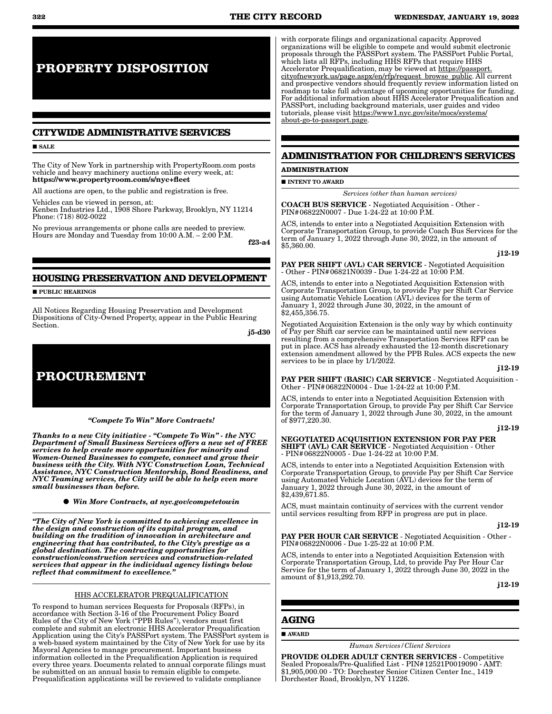# **PROPERTY DISPOSITION**

# **CITYWIDE ADMINISTRATIVE SERVICES**

#### **SALE**

The City of New York in partnership with PropertyRoom.com posts vehicle and heavy machinery auctions online every week, at: https://www.propertyroom.com/s/nyc+fleet

All auctions are open, to the public and registration is free.

Vehicles can be viewed in person, at: Kenben Industries Ltd., 1908 Shore Parkway, Brooklyn, NY 11214 Phone: (718) 802-0022

No previous arrangements or phone calls are needed to preview. Hours are Monday and Tuesday from 10:00 A.M. – 2:00 P.M.

f23-a4

# **HOUSING PRESERVATION AND DEVELOPMENT**

**PUBLIC HEARINGS** 

All Notices Regarding Housing Preservation and Development Dispositions of City-Owned Property, appear in the Public Hearing Section.

j5-d30

# **PROCUREMENT**

*"Compete To Win" More Contracts!* 

*Thanks to a new City initiative - "Compete To Win" - the NYC Department of Small Business Services offers a new set of FREE services to help create more opportunities for minority and Women-Owned Businesses to compete, connect and grow their business with the City. With NYC Construction Loan, Technical Assistance, NYC Construction Mentorship, Bond Readiness, and NYC Teaming services, the City will be able to help even more small businesses than before.*

*Win More Contracts, at nyc.gov/competetowin*

*"The City of New York is committed to achieving excellence in the design and construction of its capital program, and building on the tradition of innovation in architecture and engineering that has contributed, to the City's prestige as a global destination. The contracting opportunities for construction/construction services and construction-related services that appear in the individual agency listings below reflect that commitment to excellence."*

## HHS ACCELERATOR PREQUALIFICATION

To respond to human services Requests for Proposals (RFPs), in accordance with Section 3-16 of the Procurement Policy Board Rules of the City of New York ("PPB Rules"), vendors must first complete and submit an electronic HHS Accelerator Prequalification Application using the City's PASSPort system. The PASSPort system is a web-based system maintained by the City of New York for use by its Mayoral Agencies to manage procurement. Important business information collected in the Prequalification Application is required every three years. Documents related to annual corporate filings must be submitted on an annual basis to remain eligible to compete. Prequalification applications will be reviewed to validate compliance

with corporate filings and organizational capacity. Approved organizations will be eligible to compete and would submit electronic proposals through the PASSPort system. The PASSPort Public Portal, which lists all RFPs, including HHS RFPs that require HHS Accelerator Prequalification, may be viewed at https://passport. cityofnewyork.us/page.aspx/en/rfp/request\_browse\_public. All current and prospective vendors should frequently review information listed on roadmap to take full advantage of upcoming opportunities for funding. For additional information about HHS Accelerator Prequalification and PASSPort, including background materials, user guides and video tutorials, please visit https://www1.nyc.gov/site/mocs/systems/ about-go-to-passport.page.

### **ADMINISTRATION FOR CHILDREN'S SERVICES**

**ADMINISTRATION**

**INTENT TO AWARD** 

*Services (other than human services)*

COACH BUS SERVICE - Negotiated Acquisition - Other - PIN#06822N0007 - Due 1-24-22 at 10:00 P.M.

ACS, intends to enter into a Negotiated Acquisition Extension with Corporate Transportation Group, to provide Coach Bus Services for the term of January 1, 2022 through June 30, 2022, in the amount of \$5,360.00.

#### j12-19

PAY PER SHIFT (AVL) CAR SERVICE - Negotiated Acquisition - Other - PIN#06821N0039 - Due 1-24-22 at 10:00 P.M.

ACS, intends to enter into a Negotiated Acquisition Extension with Corporate Transportation Group, to provide Pay per Shift Car Service using Automatic Vehicle Location (AVL) devices for the term of January 1, 2022 through June 30, 2022, in the amount of \$2,455,356.75.

Negotiated Acquisition Extension is the only way by which continuity of Pay per Shift car service can be maintained until new services resulting from a comprehensive Transportation Services RFP can be put in place. ACS has already exhausted the 12-month discretionary extension amendment allowed by the PPB Rules. ACS expects the new services to be in place by  $1/1/2022$ .

#### j12-19

PAY PER SHIFT (BASIC) CAR SERVICE - Negotiated Acquisition - Other - PIN#06822N0004 - Due 1-24-22 at 10:00 P.M.

ACS, intends to enter into a Negotiated Acquisition Extension with Corporate Transportation Group, to provide Pay per Shift Car Service for the term of January 1, 2022 through June 30, 2022, in the amount of \$977,220.30.

#### j12-19

NEGOTIATED ACQUISITION EXTENSION FOR PAY PER SHIFT (AVL) CAR SERVICE - Negotiated Acquisition - Other - PIN#06822N0005 - Due 1-24-22 at 10:00 P.M.

ACS, intends to enter into a Negotiated Acquisition Extension with Corporate Transportation Group, to provide Pay per Shift Car Service using Automated Vehicle Location (AVL) devices for the term of January 1, 2022 through June 30, 2022, in the amount of \$2,439,671.85.

ACS, must maintain continuity of services with the current vendor until services resulting from RFP in progress are put in place.

#### j12-19

PAY PER HOUR CAR SERVICE - Negotiated Acquisition - Other - PIN#06822N0006 - Due 1-25-22 at 10:00 P.M.

ACS, intends to enter into a Negotiated Acquisition Extension with Corporate Transportation Group, Ltd, to provide Pay Per Hour Car Service for the term of January 1, 2022 through June 30, 2022 in the amount of \$1,913,292.70.

j12-19

# **AGING**

#### AWARD

*Human Services/Client Services*

PROVIDE OLDER ADULT CENTER SERVICES - Competitive Sealed Proposals/Pre-Qualified List - PIN#12521P0019090 - AMT: \$1,905,000.00 - TO: Dorchester Senior Citizen Center Inc., 1419 Dorchester Road, Brooklyn, NY 11226.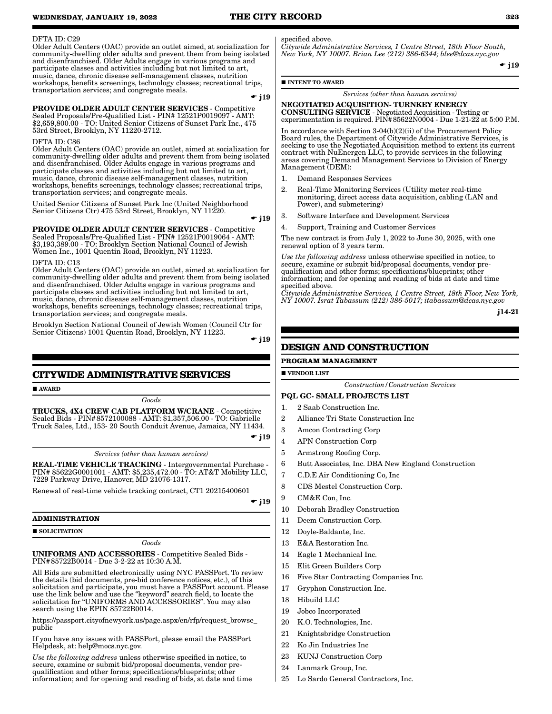#### DFTA ID: C29

Older Adult Centers (OAC) provide an outlet aimed, at socialization for community-dwelling older adults and prevent them from being isolated and disenfranchised. Older Adults engage in various programs and participate classes and activities including but not limited to art, music, dance, chronic disease self-management classes, nutrition workshops, benefits screenings, technology classes; recreational trips, transportation services; and congregate meals.

 $-$  j19

PROVIDE OLDER ADULT CENTER SERVICES - Competitive Sealed Proposals/Pre-Qualified List - PIN# 12521P0019097 - AMT: \$2,659,800.00 - TO: United Senior Citizens of Sunset Park Inc., 475 53rd Street, Brooklyn, NY 11220-2712.

#### DFTA ID: C86

Older Adult Centers (OAC) provide an outlet, aimed at socialization for community-dwelling older adults and prevent them from being isolated and disenfranchised. Older Adults engage in various programs and participate classes and activities including but not limited to art, music, dance, chronic disease self-management classes, nutrition workshops, benefits screenings, technology classes; recreational trips, transportation services; and congregate meals.

United Senior Citizens of Sunset Park Inc (United Neighborhood Senior Citizens Ctr) 475 53rd Street, Brooklyn, NY 11220.  $\div$  j19

PROVIDE OLDER ADULT CENTER SERVICES - Competitive Sealed Proposals/Pre-Qualified List - PIN# 12521P0019064 - AMT: \$3,193,389.00 - TO: Brooklyn Section National Council of Jewish Women Inc., 1001 Quentin Road, Brooklyn, NY 11223.

#### DFTA ID: C13

Older Adult Centers (OAC) provide an outlet, aimed at socialization for community-dwelling older adults and prevent them from being isolated and disenfranchised. Older Adults engage in various programs and participate classes and activities including but not limited to art, music, dance, chronic disease self-management classes, nutrition workshops, benefits screenings, technology classes; recreational trips, transportation services; and congregate meals.

Brooklyn Section National Council of Jewish Women (Council Ctr for Senior Citizens) 1001 Quentin Road, Brooklyn, NY 11223.

 $\bullet$  j19

### **CITYWIDE ADMINISTRATIVE SERVICES**

AWARD

#### *Goods*

TRUCKS, 4X4 CREW CAB PLATFORM W/CRANE - Competitive Sealed Bids - PIN#8572100088 - AMT: \$1,357,506.00 - TO: Gabrielle Truck Sales, Ltd., 153- 20 South Conduit Avenue, Jamaica, NY 11434.

 $\div$  j19

*Services (other than human services)*

REAL-TIME VEHICLE TRACKING - Intergovernmental Purchase - PIN# 85622G0001001 - AMT: \$5,235,472.00 - TO: AT&T Mobility LLC, 7229 Parkway Drive, Hanover, MD 21076-1317.

Renewal of real-time vehicle tracking contract, CT1 20215400601

 $\div$  j19

#### **ADMINISTRATION**

**SOLICITATION** 

#### *Goods*

UNIFORMS AND ACCESSORIES - Competitive Sealed Bids - PIN#85722B0014 - Due 3-2-22 at 10:30 A.M.

All Bids are submitted electronically using NYC PASSPort. To review the details (bid documents, pre-bid conference notices, etc.), of this solicitation and participate, you must have a PASSPort account. Please use the link below and use the "keyword" search field, to locate the solicitation for "UNIFORMS AND ACCESSORIES". You may also search using the EPIN 85722B0014.

https://passport.cityofnewyork.us/page.aspx/en/rfp/request\_browse\_ public

If you have any issues with PASSPort, please email the PASSPort Helpdesk, at: help@mocs.nyc.gov.

*Use the following address* unless otherwise specified in notice, to secure, examine or submit bid/proposal documents, vendor prequalification and other forms; specifications/blueprints; other information; and for opening and reading of bids, at date and time specified above.

*Citywide Administrative Services, 1 Centre Street, 18th Floor South, New York, NY 10007. Brian Lee (212) 386-6344; blee@dcas.nyc.gov*

 $\bullet$  j19

#### **INTENT TO AWARD**

*Services (other than human services)*

#### NEGOTIATED ACQUISITION- TURNKEY ENERGY CONSULTING SERVICE - Negotiated Acquisition - Testing or experimentation is required. PIN#85622N0004 - Due 1-21-22 at 5:00 P.M.

In accordance with Section 3-04(b)(2)(ii) of the Procurement Policy Board rules, the Department of Citywide Administrative Services, is seeking to use the Negotiated Acquisition method to extent its current contract with NuEnergen LLC, to provide services in the following areas covering Demand Management Services to Division of Energy Management (DEM):

- 1. Demand Responses Services
- 2. Real-Time Monitoring Services (Utility meter real-time monitoring, direct access data acquisition, cabling (LAN and Power), and submetering)
- 3. Software Interface and Development Services
- 4. Support, Training and Customer Services

The new contract is from July 1, 2022 to June 30, 2025, with one renewal option of 3 years term.

*Use the following address* unless otherwise specified in notice, to secure, examine or submit bid/proposal documents, vendor prequalification and other forms; specifications/blueprints; other information; and for opening and reading of bids at date and time specified above.

*Citywide Administrative Services, 1 Centre Street, 18th Floor, New York, NY 10007. Israt Tabassum (212) 386-5017; itabassum@dcas.nyc.gov*

j14-21

# **DESIGN AND CONSTRUCTION**

#### **PROGRAM MANAGEMENT**

**VENDOR LIST** 

*Construction/Construction Services*

#### PQL GC- SMALL PROJECTS LIST

- 1. 2 Saab Construction Inc.
- 2 Alliance Tri State Construction Inc
- 3 Amcon Contracting Corp
- 4 APN Construction Corp
- 5 Armstrong Roofing Corp.
- 6 Butt Associates, Inc. DBA New England Construction
- 7 C.D.E Air Conditioning Co, Inc
- 8 CDS Mestel Construction Corp.
- 9 CM&E Con, Inc.
- 10 Deborah Bradley Construction
- 11 Deem Construction Corp.
- 12 Doyle-Baldante, Inc.
- 13 E&A Restoration Inc.
- 14 Eagle 1 Mechanical Inc.
- 15 Elit Green Builders Corp
- 16 Five Star Contracting Companies Inc.
- 17 Gryphon Construction Inc.
- 18 Hibuild LLC
- 19 Jobco Incorporated
- 20 K.O. Technologies, Inc.
- 21 Knightsbridge Construction
- 22 Ko Jin Industries Inc
- 23 KUNJ Construction Corp
- 24 Lanmark Group, Inc.
- 25 Lo Sardo General Contractors, Inc.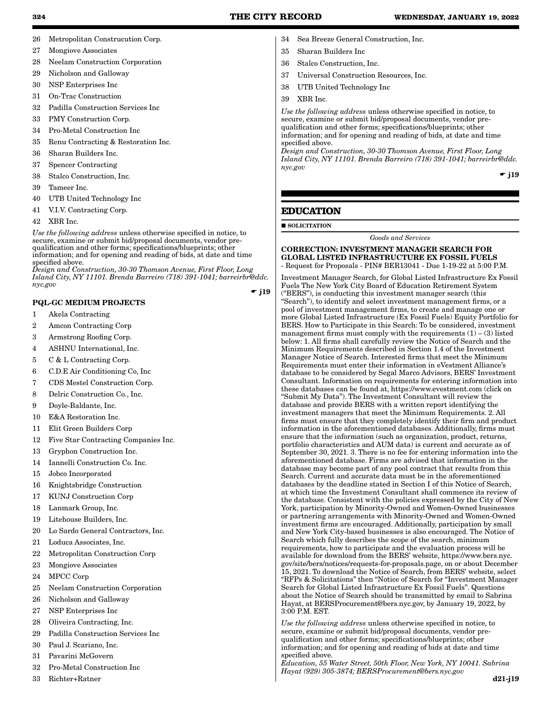- 26 Metropolitan Construcution Corp.
- 27 Mongiove Associates
- 28 Neelam Construction Corporation
- 29 Nicholson and Galloway
- 30 NSP Enterprises Inc
- 31 On-Trac Construction
- 32 Padilla Construction Services Inc
- 33 PMY Construction Corp.
- 34 Pro-Metal Construction Inc
- 35 Renu Contracting & Restoration Inc.
- 36 Sharan Builders Inc.
- 37 Spencer Contracting
- 38 Stalco Construction, Inc.
- 39 Tameer Inc.
- 40 UTB United Technology Inc
- 41 V.I.V. Contracting Corp.
- 42 XBR Inc.

*Use the following address* unless otherwise specified in notice, to secure, examine or submit bid/proposal documents, vendor prequalification and other forms; specifications/blueprints; other information; and for opening and reading of bids, at date and time specified above.

*Design and Construction, 30-30 Thomson Avenue, First Floor, Long Island City, NY 11101. Brenda Barreiro (718) 391-1041; barreirbr@ddc. nyc.gov*

 $\div$  i19

# PQL-GC MEDIUM PROJECTS

- 1 Akela Contracting
- 2 Amcon Contracting Corp
- 3 Armstrong Roofing Corp.
- 4 ASHNU International, Inc.
- 5 C & L Contracting Corp.
- 6 C.D.E Air Conditioning Co, Inc
- 7 CDS Mestel Construction Corp.
- 8 Delric Construction Co., Inc.
- 9 Doyle-Baldante, Inc.
- 10 E&A Restoration Inc.
- 11 Elit Green Builders Corp
- 12 Five Star Contracting Companies Inc.
- 13 Gryphon Construction Inc.
- 14 Iannelli Construction Co. Inc.
- 15 Jobco Incorporated
- 16 Knightsbridge Construction
- 17 KUNJ Construction Corp
- 18 Lanmark Group, Inc.
- 19 Litehouse Builders, Inc.
- 20 Lo Sardo General Contractors, Inc.
- 21 Loduca Associates, Inc.
- 22 Metropolitan Construction Corp
- 23 Mongiove Associates
- 24 MPCC Corp
- 25 Neelam Construction Corporation
- 26 Nicholson and Galloway
- 27 NSP Enterprises Inc
- 28 Oliveira Contracting, Inc.
- 29 Padilla Construction Services Inc
- 30 Paul J. Scariano, Inc.
- 31 Pavarini McGovern
- 32 Pro-Metal Construction Inc
- 33 Richter+Ratner
- 34 Sea Breeze General Construction, Inc.
- 35 Sharan Builders Inc
- 36 Stalco Construction, Inc.
- 37 Universal Construction Resources, Inc.
- 38 UTB United Technology Inc
- 39 XBR Inc.

*Use the following address* unless otherwise specified in notice, to secure, examine or submit bid/proposal documents, vendor prequalification and other forms; specifications/blueprints; other information; and for opening and reading of bids, at date and time specified above.

*Design and Construction, 30-30 Thomson Avenue, First Floor, Long Island City, NY 11101. Brenda Barreiro (718) 391-1041; barreirbr@ddc. nyc.gov*

 $\div$  i19

# **EDUCATION**

**SOLICITATION** 

*Goods and Services*

### CORRECTION: INVESTMENT MANAGER SEARCH FOR GLOBAL LISTED INFRASTRUCTURE EX FOSSIL FUELS - Request for Proposals - PIN# BER13041 - Due 1-19-22 at 5:00 P.M.

Investment Manager Search, for Global Listed Infrastructure Ex Fossil Fuels The New York City Board of Education Retirement System ("BERS"), is conducting this investment manager search (this "Search"), to identify and select investment management firms, or a pool of investment management firms, to create and manage one or more Global Listed Infrastructure (Ex Fossil Fuels) Equity Portfolio for BERS. How to Participate in this Search: To be considered, investment management firms must comply with the requirements  $(1) - (3)$  listed below: 1. All firms shall carefully review the Notice of Search and the Minimum Requirements described in Section 1.4 of the Investment Manager Notice of Search. Interested firms that meet the Minimum Requirements must enter their information in eVestment Alliance's database to be considered by Segal Marco Advisors, BERS' Investment Consultant. Information on requirements for entering information into these databases can be found at, https://www.evestment.com (click on "Submit My Data"). The Investment Consultant will review the database and provide BERS with a written report identifying the investment managers that meet the Minimum Requirements. 2. All firms must ensure that they completely identify their firm and product information in the aforementioned databases. Additionally, firms must ensure that the information (such as organization, product, returns, portfolio characteristics and AUM data) is current and accurate as of September 30, 2021. 3. There is no fee for entering information into the aforementioned database. Firms are advised that information in the database may become part of any pool contract that results from this Search. Current and accurate data must be in the aforementioned databases by the deadline stated in Section I of this Notice of Search, at which time the Investment Consultant shall commence its review of the database. Consistent with the policies expressed by the City of New York, participation by Minority-Owned and Women-Owned businesses or partnering arrangements with Minority-Owned and Women-Owned investment firms are encouraged. Additionally, participation by small and New York City-based businesses is also encouraged. The Notice of Search which fully describes the scope of the search, minimum requirements, how to participate and the evaluation process will be available for download from the BERS' website, https://www.bers.nyc. gov/site/bers/notices/requests-for-proposals.page, on or about December 15, 2021. To download the Notice of Search, from BERS' website, select "RFPs & Solicitations" then "Notice of Search for "Investment Manager Search for Global Listed Infrastructure Ex Fossil Fuels". Questions about the Notice of Search should be transmitted by email to Sabrina Hayat, at BERSProcurement@bers.nyc.gov, by January 19, 2022, by 3:00 P.M. EST.

*Use the following address* unless otherwise specified in notice, to secure, examine or submit bid/proposal documents, vendor prequalification and other forms; specifications/blueprints; other information; and for opening and reading of bids at date and time specified above.

*Education, 55 Water Street, 50th Floor, New York, NY 10041. Sabrina Hayat (929) 305-3874; BERSProcurement@bers.nyc.gov*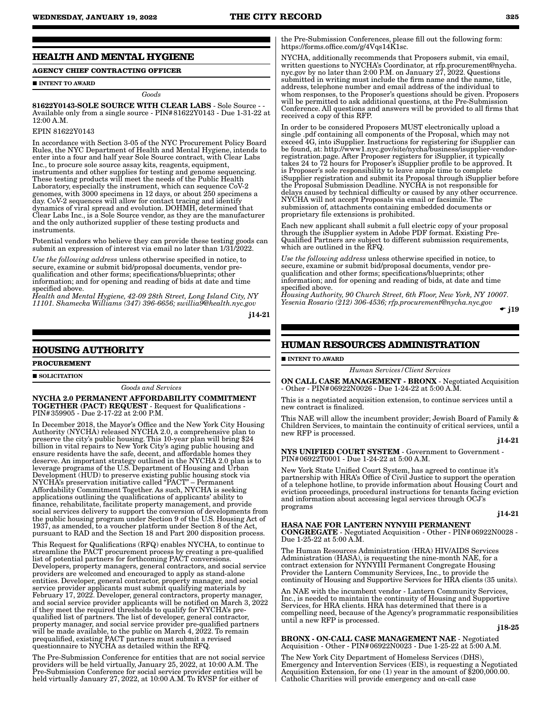# **HEALTH AND MENTAL HYGIENE**

# **AGENCY CHIEF CONTRACTING OFFICER**

#### **INTENT TO AWARD**

*Goods*

81622Y0143-SOLE SOURCE WITH CLEAR LABS - Sole Source - - Available only from a single source - PIN#81622Y0143 - Due 1-31-22 at 12:00 A.M.

#### EPIN 81622Y0143

In accordance with Section 3-05 of the NYC Procurement Policy Board Rules, the NYC Department of Health and Mental Hygiene, intends to enter into a four and half year Sole Source contract, with Clear Labs Inc., to procure sole source assay kits, reagents, equipment, instruments and other supplies for testing and genome sequencing. These testing products will meet the needs of the Public Health Laboratory, especially the instrument, which can sequence CoV-2 genomes, with 3000 specimens in 12 days, or about 250 specimens a day. CoV-2 sequences will allow for contact tracing and identify dynamics of viral spread and evolution. DOHMH, determined that Clear Labs Inc., is a Sole Source vendor, as they are the manufacturer and the only authorized supplier of these testing products and instruments.

Potential vendors who believe they can provide these testing goods can submit an expression of interest via email no later than 1/31/2022.

*Use the following address* unless otherwise specified in notice, to secure, examine or submit bid/proposal documents, vendor prequalification and other forms; specifications/blueprints; other information; and for opening and reading of bids at date and time specified above.

*Health and Mental Hygiene, 42-09 28th Street, Long Island City, NY 11101. Shamecka Williams (347) 396-6656; swillia9@health.nyc.gov*

j14-21

### **HOUSING AUTHORITY**

#### **PROCUREMENT**

SOLICITATION

*Goods and Services*

NYCHA 2.0 PERMANENT AFFORDABILITY COMMITMENT TOGETHER (PACT) REQUEST - Request for Qualifications - PIN#359905 - Due 2-17-22 at 2:00 P.M.

In December 2018, the Mayor's Office and the New York City Housing Authority (NYCHA) released NYCHA 2.0, a comprehensive plan to preserve the city's public housing. This 10-year plan will bring \$24 billion in vital repairs to New York City's aging public housing and ensure residents have the safe, decent, and affordable homes they deserve. An important strategy outlined in the NYCHA 2.0 plan is to leverage programs of the U.S. Department of Housing and Urban Development (HUD) to preserve existing public housing stock via NYCHA's preservation initiative called "PACT" – Permanent Affordability Commitment Together. As such, NYCHA is seeking applications outlining the qualifications of applicants' ability to finance, rehabilitate, facilitate property management, and provide social services delivery to support the conversion of developments from the public housing program under Section 9 of the U.S. Housing Act of 1937, as amended, to a voucher platform under Section 8 of the Act, pursuant to RAD and the Section 18 and Part 200 disposition process.

This Request for Qualifications (RFQ) enables NYCHA, to continue to streamline the PACT procurement process by creating a pre-qualified list of potential partners for forthcoming PACT conversions. Developers, property managers, general contractors, and social service providers are welcomed and encouraged to apply as stand-alone entities. Developer, general contractor, property manager, and social service provider applicants must submit qualifying materials by February 17, 2022. Developer, general contractors, property manager, and social service provider applicants will be notified on March 3, 2022 if they meet the required thresholds to qualify for NYCHA's prequalified list of partners. The list of developer, general contractor, property manager, and social service provider pre-qualified partners will be made available, to the public on March 4, 2022. To remain prequalified, existing PACT partners must submit a revised questionnaire to NYCHA as detailed within the RFQ.

The Pre-Submission Conference for entities that are not social service providers will be held virtually, January 25, 2022, at 10:00 A.M. The Pre-Submission Conference for social service provider entities will be held virtually January 27, 2022, at 10:00 A.M. To RVSP for either of

the Pre-Submission Conferences, please fill out the following form: https://forms.office.com/g/4Vqs14K1sc.

NYCHA, additionally recommends that Proposers submit, via email, written questions to NYCHA's Coordinator, at rfp.procurement@nycha. nyc.gov by no later than 2:00 P.M. on January 27, 2022. Questions submitted in writing must include the firm name and the name, title, address, telephone number and email address of the individual to whom responses, to the Proposer's questions should be given. Proposers will be permitted to ask additional questions, at the Pre-Submission Conference. All questions and answers will be provided to all firms that received a copy of this RFP.

In order to be considered Proposers MUST electronically upload a single .pdf containing all components of the Proposal, which may not exceed 4G, into iSupplier. Instructions for registering for iSupplier can be found, at: http://www1.nyc.gov/site/nycha/business/isupplier-vendorregistration.page. After Proposer registers for iSupplier, it typically takes 24 to 72 hours for Proposer's iSupplier profile to be approved. It is Proposer's sole responsibility to leave ample time to complete iSupplier registration and submit its Proposal through iSupplier before the Proposal Submission Deadline. NYCHA is not responsible for delays caused by technical difficulty or caused by any other occurrence. NYCHA will not accept Proposals via email or facsimile. The submission of, attachments containing embedded documents or proprietary file extensions is prohibited.

Each new applicant shall submit a full electric copy of your proposal through the iSupplier system in Adobe PDF format. Existing Pre-Qualified Partners are subject to different submission requirements, which are outlined in the RFQ.

*Use the following address* unless otherwise specified in notice, to secure, examine or submit bid/proposal documents, vendor prequalification and other forms; specifications/blueprints; other information; and for opening and reading of bids, at date and time specified above.

*Housing Authority, 90 Church Street, 6th Floor, New York, NY 10007. Yesenia Rosario (212) 306-4536; rfp.procurement@nycha.nyc.gov*

 $\div$  j19

# **HUMAN RESOURCES ADMINISTRATION**

#### **INTENT TO AWARD**

*Human Services/Client Services*

ON CALL CASE MANAGEMENT - BRONX - Negotiated Acquisition - Other - PIN#06922N0026 - Due 1-24-22 at 5:00 A.M.

This is a negotiated acquisition extension, to continue services until a new contract is finalized.

This NAE will allow the incumbent provider; Jewish Board of Family & Children Services, to maintain the continuity of critical services, until a new RFP is processed.

j14-21

NYS UNIFIED COURT SYSTEM - Government to Government - PIN#06922T0001 - Due 1-24-22 at 5:00 A.M.

New York State Unified Court System, has agreed to continue it's partnership with HRA's Office of Civil Justice to support the operation of a telephone hotline, to provide information about Housing Court and eviction proceedings, procedural instructions for tenants facing eviction and information about accessing legal services through OCJ's programs

#### j14-21

#### HASA NAE FOR LANTERN NYNYIII PERMANENT

CONGREGATE - Negotiated Acquisition - Other - PIN#06922N0028 - Due 1-25-22 at 5:00 A.M.

The Human Resources Administration (HRA) HIV/AIDS Services Administration (HASA), is requesting the nine-month NAE, for a contract extension for NYNYIII Permanent Congregate Housing Provider the Lantern Community Services, Inc., to provide the continuity of Housing and Supportive Services for HRA clients (35 units).

An NAE with the incumbent vendor - Lantern Community Services, Inc., is needed to maintain the continuity of Housing and Supportive Services, for HRA clients. HRA has determined that there is a compelling need, because of the Agency's programmatic responsibilities until a new RFP is processed.

#### j18-25

BRONX - ON-CALL CASE MANAGEMENT NAE - Negotiated Acquisition - Other - PIN#06922N0023 - Due 1-25-22 at 5:00 A.M.

The New York City Department of Homeless Services (DHS), Emergency and Intervention Services (EIS), is requesting a Negotiated Acquisition Extension, for one (1) year in the amount of \$200,000.00. Catholic Charities will provide emergency and on-call case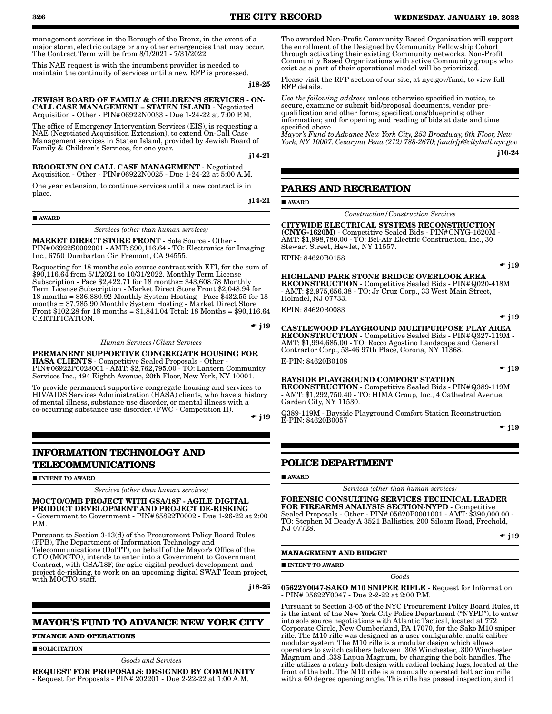management services in the Borough of the Bronx, in the event of a major storm, electric outage or any other emergencies that may occur. The Contract Term will be from 8/1/2021 - 7/31/2022.

This NAE request is with the incumbent provider is needed to maintain the continuity of services until a new RFP is processed.

j18-25

#### JEWISH BOARD OF FAMILY & CHILDREN'S SERVICES - ON-CALL CASE MANAGEMENT – STATEN ISLAND - Negotiated Acquisition - Other - PIN#06922N0033 - Due 1-24-22 at 7:00 P.M.

The office of Emergency Intervention Services (EIS), is requesting a NAE (Negotiated Acquisition Extension), to extend On-Call Case Management services in Staten Island, provided by Jewish Board of Family & Children's Services, for one year.

j14-21

#### BROOKLYN ON CALL CASE MANAGEMENT - Negotiated Acquisition - Other - PIN#06922N0025 - Due 1-24-22 at 5:00 A.M.

One year extension, to continue services until a new contract is in place.

j14-21

AWARD

*Services (other than human services)*

MARKET DIRECT STORE FRONT - Sole Source - Other - PIN#06922S0002001 - AMT: \$90,116.64 - TO: Electronics for Imaging Inc., 6750 Dumbarton Cir, Fremont, CA 94555.

Requesting for 18 months sole source contract with EFI, for the sum of \$90,116.64 from 5/1/2021 to 10/31/2022. Monthly Term License Subscription - Pace \$2,422.71 for 18 months= \$43,608.78 Monthly Term License Subscription - Market Direct Store Front \$2,048.94 for 18 months = \$36,880.92 Monthly System Hosting - Pace \$432.55 for 18 months = \$7,785.90 Monthly System Hosting - Market Direct Store Front \$102.28 for 18 months = \$1,841.04 Total: 18 Months = \$90,116.64 CERTIFICATION.

 $\div$  j19

*Human Services/Client Services*

PERMANENT SUPPORTIVE CONGREGATE HOUSING FOR HASA CLIENTS - Competitive Sealed Proposals - Other - PIN#06922P0028001 - AMT: \$2,762,795.00 - TO: Lantern Community Services Inc., 494 Eighth Avenue, 20th Floor, New York, NY 10001.

To provide permanent supportive congregate housing and services to HIV/AIDS Services Administration (HASA) clients, who have a history of mental illness, substance use disorder, or mental illness with a co-occurring substance use disorder. (FWC - Competition II).

 $\div$  j19

# **INFORMATION TECHNOLOGY AND TELECOMMUNICATIONS**

**INTENT TO AWARD** 

*Services (other than human services)*

#### MOCTO/OMB PROJECT WITH GSA/18F - AGILE DIGITAL PRODUCT DEVELOPMENT AND PROJECT DE-RISKING - Government to Government - PIN#85822T0002 - Due 1-26-22 at 2:00

P.M. Pursuant to Section 3-13(d) of the Procurement Policy Board Rules

(PPB), The Department of Information Technology and Telecommunications (DoITT), on behalf of the Mayor's Office of the CTO (MOCTO), intends to enter into a Government to Government Contract, with GSA/18F, for agile digital product development and project de-risking, to work on an upcoming digital SWAT Team project, with MOCTO staff.

j18-25

# **MAYOR'S FUND TO ADVANCE NEW YORK CITY**

#### **FINANCE AND OPERATIONS**

**SOLICITATION** 

*Goods and Services*

REQUEST FOR PROPOSALS: DESIGNED BY COMMUNITY - Request for Proposals - PIN# 202201 - Due 2-22-22 at 1:00 A.M.

The awarded Non-Profit Community Based Organization will support the enrollment of the Designed by Community Fellowship Cohort through activating their existing Community networks. Non-Profit Community Based Organizations with active Community groups who exist as a part of their operational model will be prioritized.

Please visit the RFP section of our site, at nyc.gov/fund, to view full RFP details.

*Use the following address* unless otherwise specified in notice, to secure, examine or submit bid/proposal documents, vendor prequalification and other forms; specifications/blueprints; other information; and for opening and reading of bids at date and time specified above.

*Mayor's Fund to Advance New York City, 253 Broadway, 6th Floor, New York, NY 10007. Cesaryna Pena (212) 788-2670; fundrfp@cityhall.nyc.gov* j10-24

# **PARKS AND RECREATION**

**AWARD** 

*Construction/Construction Services*

# CITYWIDE ELECTRICAL SYSTEMS RECONSTRUCTION

(CNYG-1620M) - Competitive Sealed Bids - PIN#CNYG-1620M - AMT: \$1,998,780.00 - TO: Bel-Air Electric Construction, Inc., 30 Stewart Street, Hewlet, NY 11557.

EPIN: 84620B0158

 $\div$  i19

#### HIGHLAND PARK STONE BRIDGE OVERLOOK AREA RECONSTRUCTION - Competitive Sealed Bids - PIN#Q020-418M - AMT: \$2,975,656.38 - TO: Jr Cruz Corp., 33 West Main Street, Holmdel, NJ 07733.

EPIN: 84620B0083

 $\div$  j19

CASTLEWOOD PLAYGROUND MULTIPURPOSE PLAY AREA RECONSTRUCTION - Competitive Sealed Bids - PIN#Q327-119M - AMT: \$1,994,685.00 - TO: Rocco Agostino Landscape and General Contractor Corp., 53-46 97th Place, Corona, NY 11368. E-PIN: 84620B0108

#### BAYSIDE PLAYGROUND COMFORT STATION

RECONSTRUCTION - Competitive Sealed Bids - PIN#Q389-119M - AMT: \$1,292,750.40 - TO: HIMA Group, Inc., 4 Cathedral Avenue, Garden City, NY 11530.

Q389-119M - Bayside Playground Comfort Station Reconstruction E-PIN: 84620B0057

 $\bullet$  j19

 $\bullet$  j19

# **POLICE DEPARTMENT**

#### AWARD

*Services (other than human services)*

#### FORENSIC CONSULTING SERVICES TECHNICAL LEADER FOR FIREARMS ANALYSIS SECTION-NYPD - Competitive Sealed Proposals - Other - PIN# 05620P0001001 - AMT: \$390,000.00 - TO: Stephen M Deady A 3521 Ballistics, 200 Siloam Road, Freehold, NJ 07728.

 $\div$  j19

### **MANAGEMENT AND BUDGET**

**INTENT TO AWARD** 

*Goods*

05622Y0047-SAKO M10 SNIPER RIFLE - Request for Information - PIN# 05622Y0047 - Due 2-2-22 at 2:00 P.M.

Pursuant to Section 3-05 of the NYC Procurement Policy Board Rules, it is the intent of the New York City Police Department ("NYPD"), to enter into sole source negotiations with Atlantic Tactical, located at 772 Corporate Circle, New Cumberland, PA 17070, for the Sako M10 sniper rifle. The M10 rifle was designed as a user configurable, multi caliber modular system. The M10 rifle is a modular design which allows operators to switch calibers between .308 Winchester, .300 Winchester Magnum and .338 Lapua Magnum, by changing the bolt handles. The rifle utilizes a rotary bolt design with radical locking lugs, located at the front of the bolt. The M10 rifle is a manually operated bolt action rifle with a 60 degree opening angle. This rifle has passed inspection, and it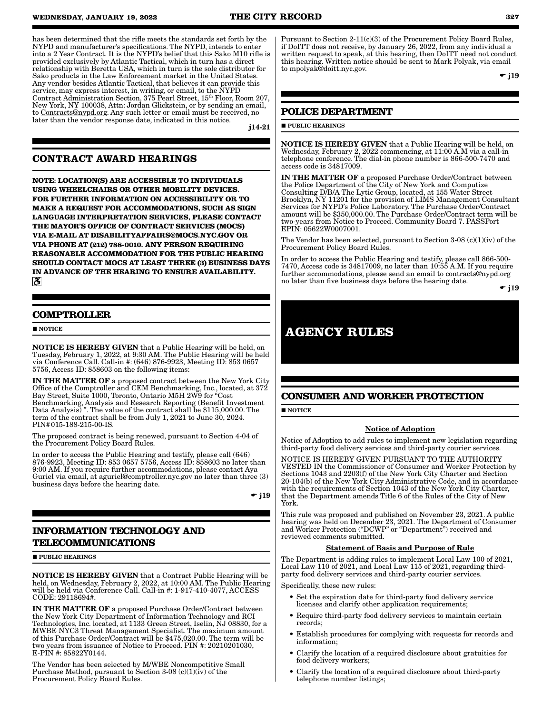has been determined that the rifle meets the standards set forth by the NYPD and manufacturer's specifications. The NYPD, intends to enter into a 2 Year Contract. It is the NYPD's belief that this Sako M10 rifle is provided exclusively by Atlantic Tactical, which in turn has a direct relationship with Beretta USA, which in turn is the sole distributor for Sako products in the Law Enforcement market in the United States. Any vendor besides Atlantic Tactical, that believes it can provide this service, may express interest, in writing, or email, to the NYPD Contract Administration Section, 375 Pearl Street, 15th Floor, Room 207, New York, NY 100038, Attn: Jordan Glickstein, or by sending an email, to Contracts@nypd.org. Any such letter or email must be received, no later than the vendor response date, indicated in this notice.

j14-21

# **CONTRACT AWARD HEARINGS**

**NOTE: LOCATION(S) ARE ACCESSIBLE TO INDIVIDUALS USING WHEELCHAIRS OR OTHER MOBILITY DEVICES. FOR FURTHER INFORMATION ON ACCESSIBILITY OR TO MAKE A REQUEST FOR ACCOMMODATIONS, SUCH AS SIGN LANGUAGE INTERPRETATION SERVICES, PLEASE CONTACT THE MAYOR'S OFFICE OF CONTRACT SERVICES (MOCS) VIA E-MAIL AT DISABILITYAFFAIRS@MOCS.NYC.GOV OR VIA PHONE AT (212) 788-0010. ANY PERSON REQUIRING REASONABLE ACCOMMODATION FOR THE PUBLIC HEARING SHOULD CONTACT MOCS AT LEAST THREE (3) BUSINESS DAYS IN ADVANCE OF THE HEARING TO ENSURE AVAILABILITY.**  $\mathbf{a}$ 

# **COMPTROLLER**

**NOTICE** 

NOTICE IS HEREBY GIVEN that a Public Hearing will be held, on Tuesday, February 1, 2022, at 9:30 AM. The Public Hearing will be held via Conference Call. Call-in #: (646) 876-9923, Meeting ID: 853 0657 5756, Access ID: 858603 on the following items:

IN THE MATTER OF a proposed contract between the New York City Office of the Comptroller and CEM Benchmarking, Inc., located, at 372 Bay Street, Suite 1000, Toronto, Ontario M5H 2W9 for "Cost Benchmarking, Analysis and Research Reporting (Benefit Investment Data Analysis) ". The value of the contract shall be \$115,000.00. The term of the contract shall be from July 1, 2021 to June 30, 2024. PIN#015-188-215-00-IS.

The proposed contract is being renewed, pursuant to Section 4-04 of the Procurement Policy Board Rules.

In order to access the Public Hearing and testify, please call (646) 876-9923, Meeting ID: 853 0657 5756, Access ID: 858603 no later than 9:00 AM. If you require further accommodations, please contact Aya Guriel via email, at aguriel@comptroller.nyc.gov no later than three (3) business days before the hearing date.

 $\div$  j19

# **INFORMATION TECHNOLOGY AND TELECOMMUNICATIONS**

**PUBLIC HEARINGS** 

NOTICE IS HEREBY GIVEN that a Contract Public Hearing will be held, on Wednesday, February 2, 2022, at 10:00 AM. The Public Hearing will be held via Conference Call. Call-in #: 1-917-410-4077, ACCESS CODE: 29118694#.

IN THE MATTER OF a proposed Purchase Order/Contract between the New York City Department of Information Technology and RCI Technologies, Inc. located, at 1133 Green Street, Iselin, NJ 08830, for a MWBE NYC3 Threat Management Specialist. The maximum amount of this Purchase Order/Contract will be \$475,020.00. The term will be two years from issuance of Notice to Proceed. PIN #: 20210201030, E-PIN #: 85822Y0144.

The Vendor has been selected by M/WBE Noncompetitive Small Purchase Method, pursuant to Section 3-08 (c)(1)(iv) of the Procurement Policy Board Rules.

Pursuant to Section 2-11(c)(3) of the Procurement Policy Board Rules, if DoITT does not receive, by January 26, 2022, from any individual a written request to speak, at this hearing, then DoITT need not conduct this hearing. Written notice should be sent to Mark Polyak, via email to mpolyak@doitt.nyc.gov.

 $\div$  i19

# **POLICE DEPARTMENT**

#### **PUBLIC HEARINGS**

NOTICE IS HEREBY GIVEN that a Public Hearing will be held, on Wednesday, February 2, 2022 commencing, at 11:00 A.M via a call-in telephone conference. The dial-in phone number is 866-500-7470 and access code is 34817009.

IN THE MATTER OF a proposed Purchase Order/Contract between the Police Department of the City of New York and Computize Consulting D/B/A The Lytic Group, located, at 155 Water Street Brooklyn, NY 11201 for the provision of LIMS Management Consultant Services for NYPD's Police Laboratory. The Purchase Order/Contract amount will be \$350,000.00. The Purchase Order/Contract term will be two-years from Notice to Proceed. Community Board 7. PASSPort EPIN: 05622W0007001.

The Vendor has been selected, pursuant to Section  $3-08$  (c)(1)(iv) of the Procurement Policy Board Rules.

In order to access the Public Hearing and testify, please call 866-500- 7470, Access code is 34817009, no later than 10:55 A.M. If you require further accommodations, please send an email to contracts@nypd.org no later than five business days before the hearing date.

 $\div$  j19

# **AGENCY RULES**

# **CONSUMER AND WORKER PROTECTION**

**NOTICE** 

### Notice of Adoption

Notice of Adoption to add rules to implement new legislation regarding third-party food delivery services and third-party courier services.

NOTICE IS HEREBY GIVEN PURSUANT TO THE AUTHORITY VESTED IN the Commissioner of Consumer and Worker Protection by Sections 1043 and 2203(f) of the New York City Charter and Section 20-104(b) of the New York City Administrative Code, and in accordance with the requirements of Section 1043 of the New York City Charter, that the Department amends Title 6 of the Rules of the City of New York.

This rule was proposed and published on November 23, 2021. A public hearing was held on December 23, 2021. The Department of Consumer and Worker Protection ("DCWP" or "Department") received and reviewed comments submitted.

#### Statement of Basis and Purpose of Rule

The Department is adding rules to implement Local Law 100 of 2021, Local Law 110 of 2021, and Local Law 115 of 2021, regarding thirdparty food delivery services and third-party courier services.

Specifically, these new rules:

- Set the expiration date for third-party food delivery service licenses and clarify other application requirements;
- Require third-party food delivery services to maintain certain records;
- Establish procedures for complying with requests for records and information;
- Clarify the location of a required disclosure about gratuities for food delivery workers;
- Clarify the location of a required disclosure about third-party telephone number listings;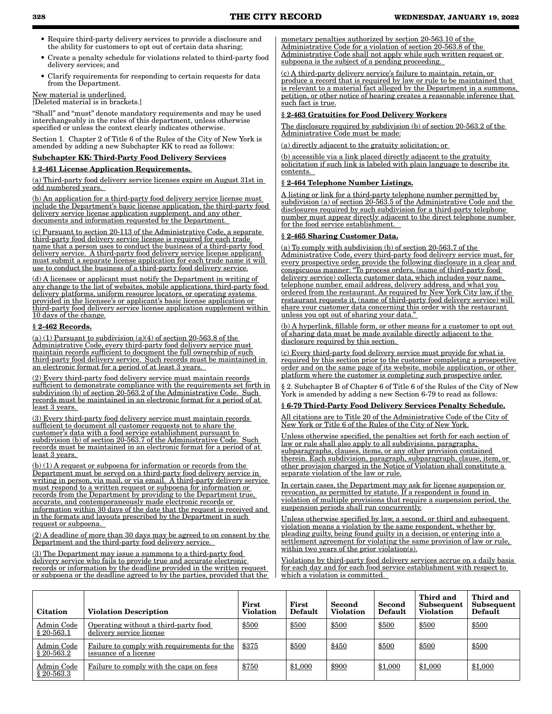- Require third-party delivery services to provide a disclosure and the ability for customers to opt out of certain data sharing;
- Create a penalty schedule for violations related to third-party food delivery services; and
- Clarify requirements for responding to certain requests for data from the Department.

# New material is underlined.

[Deleted material is in brackets.]

"Shall" and "must" denote mandatory requirements and may be used interchangeably in the rules of this department, unless otherwise specified or unless the context clearly indicates otherwise.

Section 1. Chapter 2 of Title 6 of the Rules of the City of New York is amended by adding a new Subchapter KK to read as follows:

#### Subchapter KK: Third-Party Food Delivery Services

## § 2-461 License Application Requirements.

(a) Third-party food delivery service licenses expire on August 31st in odd numbered years.

(b) An application for a third-party food delivery service license must include the Department's basic license application, the third-party food delivery service license application supplement, and any other documents and information requested by the Department.

(c) Pursuant to section 20-113 of the Administrative Code, a separate third-party food delivery service license is required for each trade name that a person uses to conduct the business of a third-party food delivery service. A third-party food delivery service license applicant must submit a separate license application for each trade name it will use to conduct the business of a third-party food delivery service.

(d) A licensee or applicant must notify the Department in writing of any change to the list of websites, mobile applications, third-party food delivery platforms, uniform resource locators, or operating systems provided in the licensee's or applicant's basic license application or third-party food delivery service license application supplement within 10 days of the change.

#### § 2-462 Records.

(a) (1) Pursuant to subdivision (a)(4) of section  $20-563.8$  of the Administrative Code, every third-party food delivery service must maintain records sufficient to document the full ownership of such third-party food delivery service. Such records must be maintained in an electronic format for a period of at least 3 years.

(2) Every third-party food delivery service must maintain records sufficient to demonstrate compliance with the requirements set forth in subdivision (b) of section 20-563.2 of the Administrative Code. Such records must be maintained in an electronic format for a period of at least 3 years.

(3) Every third-party food delivery service must maintain records sufficient to document all customer requests not to share the customer's data with a food service establishment pursuant to subdivision (b) of section 20-563.7 of the Administrative Code. Such records must be maintained in an electronic format for a period of at least 3 years.

(b) (1) A request or subpoena for information or records from the Department must be served on a third-party food delivery service in writing in person, via mail, or via email. A third-party delivery service must respond to a written request or subpoena for information or records from the Department by providing to the Department true, accurate, and contemporaneously made electronic records or information within 30 days of the date that the request is received and in the formats and layouts prescribed by the Department in such request or subpoena.

(2) A deadline of more than 30 days may be agreed to on consent by the Department and the third-party food delivery service.

(3) The Department may issue a summons to a third-party food delivery service who fails to provide true and accurate electronic records or information by the deadline provided in the written request or subpoena or the deadline agreed to by the parties, provided that the monetary penalties authorized by section 20-563.10 of the Administrative Code for a violation of section 20-563.8 of the Administrative Code shall not apply while such written request or subpoena is the subject of a pending proceeding.

(c) A third-party delivery service's failure to maintain, retain, or produce a record that is required by law or rule to be maintained that is relevant to a material fact alleged by the Department in a summons, petition, or other notice of hearing creates a reasonable inference that such fact is true.

#### § 2-463 Gratuities for Food Delivery Workers

The disclosure required by subdivision (b) of section 20-563.2 of the Administrative Code must be made:

(a) directly adjacent to the gratuity solicitation; or

(b) accessible via a link placed directly adjacent to the gratuity solicitation if such link is labeled with plain language to describe its contents.

#### § 2-464 Telephone Number Listings.

A listing or link for a third-party telephone number permitted by subdivision (a) of section 20-563.5 of the Administrative Code and the disclosures required by such subdivision for a third-party telephone number must appear directly adjacent to the direct telephone number for the food service establishment.

### § 2-465 Sharing Customer Data.

(a) To comply with subdivision (b) of section 20-563.7 of the Administrative Code, every third-party food delivery service must, for every prospective order, provide the following disclosure in a clear and conspicuous manner: "To process orders, (name of third-party food delivery service) collects customer data, which includes your name, telephone number, email address, delivery address, and what you ordered from the restaurant. As required by New York City law, if the restaurant requests it, (name of third-party food delivery service) will share your customer data concerning this order with the restaurant unless you opt out of sharing your data.

(b) A hyperlink, fillable form, or other means for a customer to opt out of sharing data must be made available directly adjacent to the disclosure required by this section.

(c) Every third-party food delivery service must provide for what is required by this section prior to the customer completing a prospective order and on the same page of its website, mobile application, or other platform where the customer is completing such prospective order.

§ 2. Subchapter B of Chapter 6 of Title 6 of the Rules of the City of New York is amended by adding a new Section 6-79 to read as follows:

#### § 6-79 Third-Party Food Delivery Services Penalty Schedule.

All citations are to Title 20 of the Administrative Code of the City of New York or Title 6 of the Rules of the City of New York.

Unless otherwise specified, the penalties set forth for each section of law or rule shall also apply to all subdivisions, paragraphs, subparagraphs, clauses, items, or any other provision contained therein. Each subdivision, paragraph, subparagraph, clause, item, or other provision charged in the Notice of Violation shall constitute a separate violation of the law or rule.

In certain cases, the Department may ask for license suspension or revocation, as permitted by statute. If a respondent is found in violation of multiple provisions that require a suspension period, the suspension periods shall run concurrently.

Unless otherwise specified by law, a second, or third and subsequent violation means a violation by the same respondent, whether by pleading guilty, being found guilty in a decision, or entering into a settlement agreement for violating the same provision of law or rule, within two years of the prior violation(s).

Violations by third-party food delivery services accrue on a daily basis for each day and for each food service establishment with respect to which a violation is committed.

| <b>Citation</b>            | <b>Violation Description</b>                                         | First<br><b>Violation</b> | First<br>Default | Second<br><b>Violation</b> | Second<br>Default | Third and<br>Subsequent<br><b>Violation</b> | Third and<br>Subsequent<br>Default |
|----------------------------|----------------------------------------------------------------------|---------------------------|------------------|----------------------------|-------------------|---------------------------------------------|------------------------------------|
| Admin Code<br>\$20-563.1   | Operating without a third-party food<br>delivery service license     | \$500                     | \$500            | \$500                      | \$500             | \$500                                       | \$500                              |
| Admin Code<br>$$20-563.2$  | Failure to comply with requirements for the<br>issuance of a license | \$375                     | \$500            | \$450                      | \$500             | \$500                                       | \$500                              |
| Admin Code<br>$§ 20-563.3$ | Failure to comply with the caps on fees                              | \$750                     | \$1,000          | \$900                      | \$1,000           | \$1,000                                     | \$1,000                            |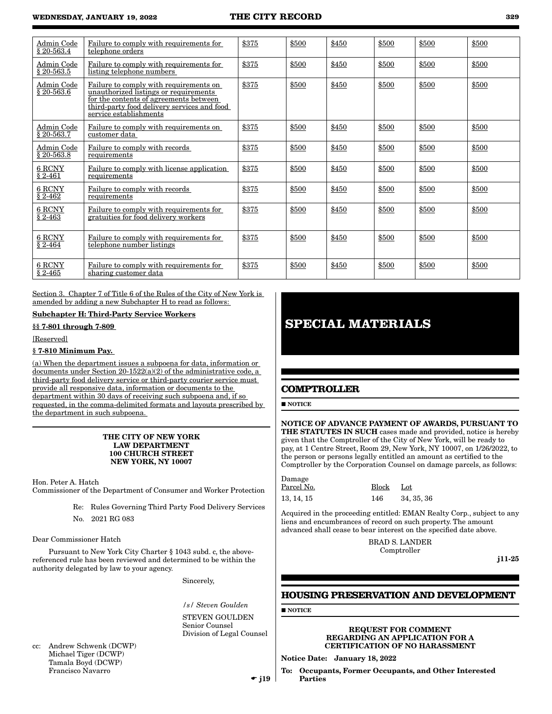| Admin Code                 | Failure to comply with requirements for                                                                                                                                                            | \$375 | \$500 | \$450 | \$500 | \$500 | \$500 |
|----------------------------|----------------------------------------------------------------------------------------------------------------------------------------------------------------------------------------------------|-------|-------|-------|-------|-------|-------|
| \$20-563.4                 | telephone orders                                                                                                                                                                                   |       |       |       |       |       |       |
| Admin Code<br>$$20-563.5$  | Failure to comply with requirements for<br>listing telephone numbers                                                                                                                               | \$375 | \$500 | \$450 | \$500 | \$500 | \$500 |
| Admin Code<br>$$20-563.6$  | Failure to comply with requirements on<br>unauthorized listings or requirements<br>for the contents of agreements between<br>third-party food delivery services and food<br>service establishments | \$375 | \$500 | \$450 | \$500 | \$500 | \$500 |
| Admin Code<br>$§ 20-563.7$ | Failure to comply with requirements on<br>customer data                                                                                                                                            | \$375 | \$500 | \$450 | \$500 | \$500 | \$500 |
| Admin Code<br>$$20-563.8$  | Failure to comply with records<br>requirements                                                                                                                                                     | \$375 | \$500 | \$450 | \$500 | \$500 | \$500 |
| 6 RCNY<br>$§ 2-461$        | Failure to comply with license application<br>requirements                                                                                                                                         | \$375 | \$500 | \$450 | \$500 | \$500 | \$500 |
| 6 RCNY<br>$§ 2-462$        | Failure to comply with records<br>requirements                                                                                                                                                     | \$375 | \$500 | \$450 | \$500 | \$500 | \$500 |
| 6 RCNY<br>$§ 2-463$        | Failure to comply with requirements for<br>gratuities for food delivery workers                                                                                                                    | \$375 | \$500 | \$450 | \$500 | \$500 | \$500 |
| 6 RCNY<br>$§ 2-464$        | Failure to comply with requirements for<br>telephone number listings                                                                                                                               | \$375 | \$500 | \$450 | \$500 | \$500 | \$500 |
| 6 RCNY<br>$§ 2 - 465$      | Failure to comply with requirements for<br>sharing customer data                                                                                                                                   | \$375 | \$500 | \$450 | \$500 | \$500 | \$500 |

Section 3. Chapter 7 of Title 6 of the Rules of the City of New York is amended by adding a new Subchapter H to read as follows:

### Subchapter H: Third-Party Service Workers

§§ 7-801 through 7-809

[Reserved]

# § 7-810 Minimum Pay.

(a) When the department issues a subpoena for data, information or documents under Section  $20-1522(a)(2)$  of the administrative code, a third-party food delivery service or third-party courier service must provide all responsive data, information or documents to the department within 30 days of receiving such subpoena and, if so requested, in the comma-delimited formats and layouts prescribed by the department in such subpoena.

#### THE CITY OF NEW YORK LAW DEPARTMENT 100 CHURCH STREET NEW YORK, NY 10007

Hon. Peter A. Hatch

Commissioner of the Department of Consumer and Worker Protection

- Re: Rules Governing Third Party Food Delivery Services
- No. 2021 RG 083

Dear Commissioner Hatch

Pursuant to New York City Charter § 1043 subd. c, the abovereferenced rule has been reviewed and determined to be within the authority delegated by law to your agency.

Sincerely,

*/s/ Steven Goulden* STEVEN GOULDEN Senior Counsel Division of Legal Counsel

cc: Andrew Schwenk (DCWP) Michael Tiger (DCWP) Tamala Boyd (DCWP) Francisco Navarro

# **SPECIAL MATERIALS**

# **COMPTROLLER**

**NOTICE** 

NOTICE OF ADVANCE PAYMENT OF AWARDS, PURSUANT TO THE STATUTES IN SUCH cases made and provided, notice is hereby given that the Comptroller of the City of New York, will be ready to pay, at 1 Centre Street, Room 29, New York, NY 10007, on 1/26/2022, to the person or persons legally entitled an amount as certified to the Comptroller by the Corporation Counsel on damage parcels, as follows:

| Damage     |           |            |
|------------|-----------|------------|
| Parcel No. | Block Lot |            |
| 13, 14, 15 | 146       | 34, 35, 36 |

Acquired in the proceeding entitled: EMAN Realty Corp., subject to any liens and encumbrances of record on such property. The amount advanced shall cease to bear interest on the specified date above.

> BRAD S. LANDER Comptroller

j11-25

# **HOUSING PRESERVATION AND DEVELOPMENT**

**NOTICE** 

REQUEST FOR COMMENT REGARDING AN APPLICATION FOR A CERTIFICATION OF NO HARASSMENT

Notice Date: January 18, 2022

To: Occupants, Former Occupants, and Other Interested Parties

 $\bullet$  j19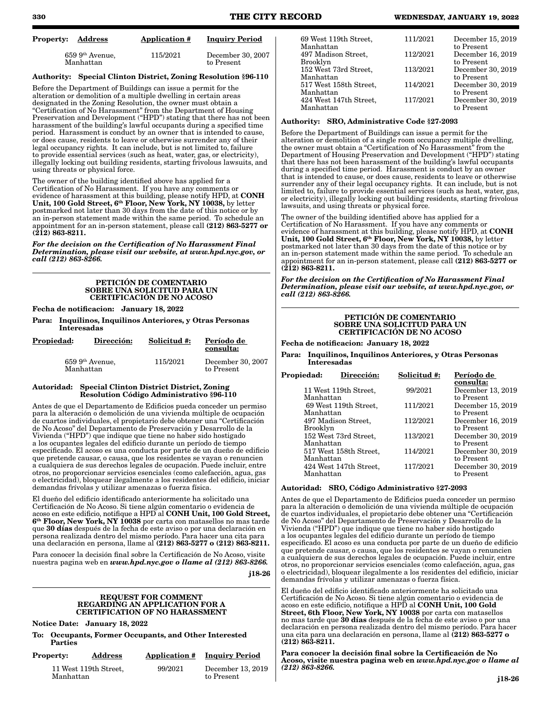| Property:<br>Address           | Application # | <b>Inquiry Period</b>           |
|--------------------------------|---------------|---------------------------------|
| $659~9th$ Avenue,<br>Manhattan | 115/2021      | December 30, 2007<br>to Present |

# Authority: Special Clinton District, Zoning Resolution §96-110

Before the Department of Buildings can issue a permit for the alteration or demolition of a multiple dwelling in certain areas designated in the Zoning Resolution, the owner must obtain a "Certification of No Harassment" from the Department of Housing Preservation and Development ("HPD") stating that there has not been harassment of the building's lawful occupants during a specified time period. Harassment is conduct by an owner that is intended to cause, or does cause, residents to leave or otherwise surrender any of their legal occupancy rights. It can include, but is not limited to, failure to provide essential services (such as heat, water, gas, or electricity), illegally locking out building residents, starting frivolous lawsuits, and using threats or physical force.

The owner of the building identified above has applied for a Certification of No Harassment. If you have any comments or evidence of harassment at this building, please notify HPD, at CONH Unit, 100 Gold Street, 6<sup>th</sup> Floor, New York, NY 10038, by letter postmarked not later than 30 days from the date of this notice or by an in-person statement made within the same period. To schedule an appointment for an in-person statement, please call (212) 863-5277 or  $(212)$  863-8211.

*For the decision on the Certification of No Harassment Final Determination, please visit our website, at www.hpd.nyc.gov, or call (212) 863-8266.*

#### PETICIÓN DE COMENTARIO SOBRE UNA SOLICITUD PARA UN CERTIFICACIÓN DE NO ACOSO

Fecha de notificacion: January 18, 2022

Para: Inquilinos, Inquilinos Anteriores, y Otras Personas Interesadas

| <b>Propiedad:</b> | Dirección:                     | Solicitud #: | Período de<br>consulta:         |  |  |  |  |
|-------------------|--------------------------------|--------------|---------------------------------|--|--|--|--|
|                   | $659~9th$ Avenue,<br>Manhattan | 115/2021     | December 30, 2007<br>to Present |  |  |  |  |

#### Autoridad: Special Clinton District District, Zoning Resolution Código Administrativo §96-110

Antes de que el Departamento de Edificios pueda conceder un permiso para la alteración o demolición de una vivienda múltiple de ocupación de cuartos individuales, el propietario debe obtener una "Certificación de No Acoso" del Departamento de Preservación y Desarrollo de la Vivienda ("HPD") que indique que tiene no haber sido hostigado a los ocupantes legales del edificio durante un período de tiempo especificado. El acoso es una conducta por parte de un dueño de edificio que pretende causar, o causa, que los residentes se vayan o renuncien a cualquiera de sus derechos legales de ocupación. Puede incluir, entre otros, no proporcionar servicios esenciales (como calefacción, agua, gas o electricidad), bloquear ilegalmente a los residentes del edificio, iniciar demandas frívolas y utilizar amenazas o fuerza física.

El dueño del edificio identificado anteriormente ha solicitado una Certificación de No Acoso. Si tiene algún comentario o evidencia de acoso en este edificio, notifique a HPD al CONH Unit, 100 Gold Street, 6th Floor, New York, NY 10038 por carta con matasellos no mas tarde que 30 días después de la fecha de este aviso o por una declaración en persona realizada dentro del mismo período. Para hacer una cita para una declaración en persona, llame al (212) 863-5277 o (212) 863-8211.

Para conocer la decisión final sobre la Certificación de No Acoso, visite nuestra pagina web en *www.hpd.nyc.gov o llame al (212) 863-8266.*

j18-26

#### REQUEST FOR COMMENT REGARDING AN APPLICATION FOR A CERTIFICATION OF NO HARASSMENT

Notice Date: January 18, 2022

To: Occupants, Former Occupants, and Other Interested **Parties** 

| <b>Property:</b> | <b>Address</b>        | <b>Application #</b> | <b>Inquiry Period</b>           |  |  |  |
|------------------|-----------------------|----------------------|---------------------------------|--|--|--|
| Manhattan        | 11 West 119th Street, | 99/2021              | December 13, 2019<br>to Present |  |  |  |

| 69 West 119th Street,<br>Manhattan     | 111/2021 | December 15, 2019<br>to Present |
|----------------------------------------|----------|---------------------------------|
| 497 Madison Street,<br><b>Brooklyn</b> | 112/2021 | December 16, 2019<br>to Present |
| 152 West 73rd Street,<br>Manhattan     | 113/2021 | December 30, 2019<br>to Present |
| 517 West 158th Street,<br>Manhattan    | 114/2021 | December 30, 2019<br>to Present |
| 424 West 147th Street,<br>Manhattan    | 117/2021 | December 30, 2019<br>to Present |

#### Authority: SRO, Administrative Code §27-2093

Before the Department of Buildings can issue a permit for the alteration or demolition of a single room occupancy multiple dwelling, the owner must obtain a "Certification of No Harassment" from the Department of Housing Preservation and Development ("HPD") stating that there has not been harassment of the building's lawful occupants during a specified time period. Harassment is conduct by an owner that is intended to cause, or does cause, residents to leave or otherwise surrender any of their legal occupancy rights. It can include, but is not limited to, failure to provide essential services (such as heat, water, gas, or electricity), illegally locking out building residents, starting frivolous lawsuits, and using threats or physical force.

The owner of the building identified above has applied for a Certification of No Harassment. If you have any comments or evidence of harassment at this building, please notify HPD, at CONH Unit, 100 Gold Street, 6<sup>th</sup> Floor, New York, NY 10038, by letter postmarked not later than 30 days from the date of this notice or by an in-person statement made within the same period. To schedule an appointment for an in-person statement, please call (212) 863-5277 or (212) 863-8211.

*For the decision on the Certification of No Harassment Final Determination, please visit our website, at www.hpd.nyc.gov, or call (212) 863-8266.*

#### PETICIÓN DE COMENTARIO SOBRE UNA SOLICITUD PARA UN CERTIFICACIÓN DE NO ACOSO

Fecha de notificacion: January 18, 2022

Para: Inquilinos, Inquilinos Anteriores, y Otras Personas Interesadas

| Dirección: | Solicitud #:                                                                                                                                                                                                                    | Período de<br>consulta:          |
|------------|---------------------------------------------------------------------------------------------------------------------------------------------------------------------------------------------------------------------------------|----------------------------------|
|            | 99/2021                                                                                                                                                                                                                         | December 13, 2019                |
|            | 111/2021                                                                                                                                                                                                                        | to Present<br>December 15, 2019  |
|            |                                                                                                                                                                                                                                 | to Present<br>December 16, 2019  |
|            |                                                                                                                                                                                                                                 | to Present                       |
|            |                                                                                                                                                                                                                                 | December 30, 2019<br>to Present  |
|            |                                                                                                                                                                                                                                 | December 30, 2019<br>to Present  |
|            | 117/2021                                                                                                                                                                                                                        | December 30, 2019<br>to Present  |
|            | 11 West 119th Street,<br>Manhattan<br>69 West 119th Street,<br>Manhattan<br>497 Madison Street,<br>Brooklyn<br>152 West 73rd Street,<br>Manhattan<br>517 West 158th Street,<br>Manhattan<br>424 West 147th Street,<br>Manhattan | 112/2021<br>113/2021<br>114/2021 |

#### Autoridad: SRO, Código Administrativo §27-2093

Antes de que el Departamento de Edificios pueda conceder un permiso para la alteración o demolición de una vivienda múltiple de ocupación de cuartos individuales, el propietario debe obtener una "Certificación de No Acoso" del Departamento de Preservación y Desarrollo de la Vivienda ("HPD") que indique que tiene no haber sido hostigado a los ocupantes legales del edificio durante un período de tiempo especificado. El acoso es una conducta por parte de un dueño de edificio que pretende causar, o causa, que los residentes se vayan o renuncien a cualquiera de sus derechos legales de ocupación. Puede incluir, entre otros, no proporcionar servicios esenciales (como calefacción, agua, gas o electricidad), bloquear ilegalmente a los residentes del edificio, iniciar demandas frívolas y utilizar amenazas o fuerza física.

El dueño del edificio identificado anteriormente ha solicitado una Certificación de No Acoso. Si tiene algún comentario o evidencia de acoso en este edificio, notifique a HPD al **CONH Unit, 100 Gold** Street, 6th Floor, New York, NY 10038 por carta con matasellos no mas tarde que 30 días después de la fecha de este aviso o por una declaración en persona realizada dentro del mismo período. Para hacer una cita para una declaración en persona, llame al (212) 863-5277 o (212) 863-8211.

Para conocer la decisión final sobre la Certificación de No Acoso, visite nuestra pagina web en *www.hpd.nyc.gov o llame al (212) 863-8266.*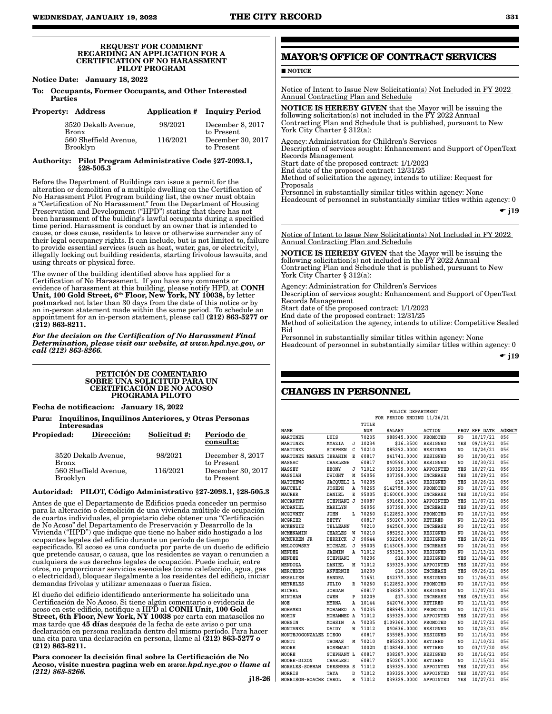#### REQUEST FOR COMMENT REGARDING AN APPLICATION FOR A CERTIFICATION OF NO HARASSMENT PILOT PROGRAM

Notice Date: January 18, 2022

To: Occupants, Former Occupants, and Other Interested Parties

| <b>Property: Address</b>            |          | <b>Application # Inquiry Period</b> |
|-------------------------------------|----------|-------------------------------------|
| 3520 Dekalb Avenue.<br><b>Bronx</b> | 98/2021  | December 8, 2017<br>to Present      |
| 560 Sheffield Avenue.<br>Brooklyn   | 116/2021 | December 30, 2017<br>to Present     |

#### Authority: Pilot Program Administrative Code §27-2093.1, §28-505.3

Before the Department of Buildings can issue a permit for the alteration or demolition of a multiple dwelling on the Certification of No Harassment Pilot Program building list, the owner must obtain a "Certification of No Harassment" from the Department of Housing Preservation and Development ("HPD") stating that there has not been harassment of the building's lawful occupants during a specified time period. Harassment is conduct by an owner that is intended to cause, or does cause, residents to leave or otherwise surrender any of their legal occupancy rights. It can include, but is not limited to, failure to provide essential services (such as heat, water, gas, or electricity), illegally locking out building residents, starting frivolous lawsuits, and using threats or physical force.

The owner of the building identified above has applied for a Certification of No Harassment. If you have any comments or evidence of harassment at this building, please notify HPD, at CONH Unit, 100 Gold Street, 6th Floor, New York, NY 10038, by letter postmarked not later than 30 days from the date of this notice or by an in-person statement made within the same period. To schedule an appointment for an in-person statement, please call (212) 863-5277 or (212) 863-8211.

*For the decision on the Certification of No Harassment Final Determination, please visit our website, at www.hpd.nyc.gov, or call (212) 863-8266.*

#### PETICIÓN DE COMENTARIO SOBRE UNA SOLICITUD PARA UN CERTIFICACIÓN DE NO ACOSO PROGRAMA PILOTO

Fecha de notificacion: January 18, 2022

Para: Inquilinos, Inquilinos Anteriores, y Otras Personas Interesadas

| Propiedad:   | Dirección:            | Solicitud #: | Período de<br>consulta:         |
|--------------|-----------------------|--------------|---------------------------------|
| <b>Bronx</b> | 3520 Dekalb Avenue,   | 98/2021      | December 8, 2017<br>to Present  |
| Brooklyn     | 560 Sheffield Avenue, | 116/2021     | December 30, 2017<br>to Present |

#### Autoridad: PILOT, Código Administrativo §27-2093.1, §28-505.3

Antes de que el Departamento de Edificios pueda conceder un permiso para la alteración o demolición de una vivienda múltiple de ocupación de cuartos individuales, el propietario debe obtener una "Certificación de No Acoso" del Departamento de Preservación y Desarrollo de la Vivienda ("HPD") que indique que tiene no haber sido hostigado a los ocupantes legales del edificio durante un período de tiempo especificado. El acoso es una conducta por parte de un dueño de edificio que pretende causar, o causa, que los residentes se vayan o renuncien a cualquiera de sus derechos legales de ocupación. Puede incluir, entre otros, no proporcionar servicios esenciales (como calefacción, agua, gas o electricidad), bloquear ilegalmente a los residentes del edificio, iniciar demandas frívolas y utilizar amenazas o fuerza física.

El dueño del edificio identificado anteriormente ha solicitado una Certificación de No Acoso. Si tiene algún comentario o evidencia de acoso en este edificio, notifique a HPD al CONH Unit, 100 Gold Street, 6th Floor, New York, NY 10038 por carta con matasellos no mas tarde que 45 días después de la fecha de este aviso o por una declaración en persona realizada dentro del mismo período. Para hacer una cita para una declaración en persona, llame al (212) 863-5277 o (212) 863-8211.

Para conocer la decisión final sobre la Certificación de No Acoso, visite nuestra pagina web en *www.hpd.nyc.gov o llame al (212) 863-8266.*

j18-26

# **MAYOR'S OFFICE OF CONTRACT SERVICES**

**NOTICE** 

Notice of Intent to Issue New Solicitation(s) Not Included in FY 2022 Annual Contracting Plan and Schedule

NOTICE IS HEREBY GIVEN that the Mayor will be issuing the following solicitation(s) not included in the FY 2022 Annual Contracting Plan and Schedule that is published, pursuant to New York City Charter § 312(a):

Agency: Administration for Children's Services Description of services sought: Enhancement and Support of OpenText Records Management Start date of the proposed contract: 1/1/2023

End date of the proposed contract: 12/31/25

Method of solicitation the agency, intends to utilize: Request for Proposals

Personnel in substantially similar titles within agency: None Headcount of personnel in substantially similar titles within agency: 0

 $\bullet$  j19

Notice of Intent to Issue New Solicitation(s) Not Included in FY 2022 Annual Contracting Plan and Schedule

NOTICE IS HEREBY GIVEN that the Mayor will be issuing the following solicitation(s) not included in the FY 2022 Annual Contracting Plan and Schedule that is published, pursuant to New York City Charter § 312(a):

Agency: Administration for Children's Services Description of services sought: Enhancement and Support of OpenText Records Management Start date of the proposed contract: 1/1/2023 End date of the proposed contract: 12/31/25 Method of solicitation the agency, intends to utilize: Competitive Sealed Bid

Personnel in substantially similar titles within agency: None

Headcount of personnel in substantially similar titles within agency: 0

 $\div$  i19

# **CHANGES IN PERSONNEL**

| POLICE DEPARTMENT       |                            |   |       |               |                 |     |               |               |  |  |
|-------------------------|----------------------------|---|-------|---------------|-----------------|-----|---------------|---------------|--|--|
|                         | FOR PERIOD ENDING 11/26/21 |   |       |               |                 |     |               |               |  |  |
|                         |                            |   | TITLE |               |                 |     |               |               |  |  |
| <b>NAME</b>             |                            |   | NUM   | <b>SALARY</b> | <b>ACTION</b>   |     | PROV EFF DATE | <b>AGENCY</b> |  |  |
| MARTINEZ                | LUIS                       |   | 70235 | \$88945.0000  | PROMOTED        | NO. | 10/17/21      | 056           |  |  |
| MARTINEZ                | MYAZIA                     | J | 10234 | \$16.3500     | RESIGNED        | YES | 09/19/21      | 056           |  |  |
| MARTINEZ                | <b>STEPHEN</b>             | C | 70210 | \$85292.0000  | <b>RESIGNED</b> | NO. | 10/24/21      | 056           |  |  |
| MARTINEZ MANAIZ         | IBRAHIM                    | E | 60817 | \$41741.0000  | RESIGNED        | NO  | 10/30/21      | 056           |  |  |
| MASSAC                  | <b>CHARLENE</b>            |   | 60817 | \$40590.0000  | <b>RESIGNED</b> | NO  | 10/30/21      | 056           |  |  |
| <b>MASSEY</b>           | EBONY                      | J | 71012 | \$39329.0000  | APPOINTED       | YES | 10/27/21      | 056           |  |  |
| <b>MASSIAH</b>          | DWIGHT                     | M | 56056 | \$37398.0000  | <b>INCREASE</b> | YES | 10/29/21      | 056           |  |  |
| <b>MATTHEWS</b>         | JACQUELI L                 |   | 70205 | \$15,4500     | RESIGNED        | YES | 10/26/21      | 056           |  |  |
| MAUCELI                 | <b>JOSEPH</b>              | A | 70265 | \$142758.0000 | PROMOTED        | NO  | 10/17/21      | 056           |  |  |
| MAURER                  | DANIEL                     | E | 95005 | \$160000.0000 | <b>INCREASE</b> | YES | 10/10/21      | 056           |  |  |
| <b>MCCARTHY</b>         | STEPHANI J                 |   | 30087 | \$91682.0000  | APPOINTED       | YES | 11/07/21      | 056           |  |  |
| MCDANIEL                | MARILYN                    |   | 56056 | \$37398.0000  | <b>INCREASE</b> | YES | 10/29/21      | 056           |  |  |
| MCGIVNEY                | <b>JOHN</b>                | L | 70260 | \$122892.0000 | PROMOTED        | NO  | 10/17/21      | 056           |  |  |
| MCGRIER                 | BETTY                      |   | 60817 | \$50207.0000  | RETIRED         | NO  | 11/20/21      | 056           |  |  |
| MCKENZIE                | TELLEANN                   |   | 70210 | \$42500.0000  | <b>INCREASE</b> | NO  | 10/12/21      | 056           |  |  |
| MCMENAMIN               | <b>CHARLES</b>             | W | 70210 | \$85292.0000  | RESIGNED        | NO  | 10/24/21      | 056           |  |  |
| MCMURREN JR             | DERRICK                    | J | 90644 | \$32260.0000  | RESIGNED        | YES | 10/26/21      | 056           |  |  |
| <b>MELOCOWSKY</b>       | MICHAEL                    | J | 95005 | \$143005.0000 | <b>INCREASE</b> | NO  | 10/24/21      | 056           |  |  |
| MENDEZ                  | <b>JAZMIN</b>              | Α | 71012 | \$53251.0000  | RESIGNED        | NO  | 11/13/21      | 056           |  |  |
| MENDEZ                  | <b>STEPHANI</b>            |   | 70206 | \$16.8000     | RESIGNED        | YES | 11/04/21      | 056           |  |  |
| MENDOZA                 | DANIEL                     | М | 71012 | \$39329.0000  | APPOINTED       | YES | 10/27/21      | 056           |  |  |
| <b>MERCEDES</b>         | <b>ANFERNIE</b>            |   | 10209 | \$16.3500     | <b>INCREASE</b> | YES | 09/26/21      | 056           |  |  |
| <b>MESALIEN</b>         | <b>SANDRA</b>              |   | 71651 | \$42377.0000  | RESIGNED        | NO  | 11/06/21      | 056           |  |  |
| MEYRELES                | JULIO                      | R | 70260 | \$122892.0000 | PROMOTED        | NO  | 10/17/21      | 056           |  |  |
| MICHEL                  | <b>JORDAN</b>              |   | 60817 | \$38287.0000  | RESIGNED        | NO  | 11/07/21      | 056           |  |  |
| <b>MINIHAN</b>          | <b>OWEN</b>                | P | 10209 | \$17,3000     | <b>INCREASE</b> | YES | 09/19/21      | 056           |  |  |
| MOE                     | MYRNA                      | А | 10144 | \$42076.0000  | RETIRED         | NO  | 11/11/21      | 056           |  |  |
| MOHAMED                 | MOHAMED                    | Α | 70235 | \$88945.0000  | PROMOTED        | NO  | 10/17/21      | 056           |  |  |
| <b>MOHIN</b>            | MOHAMMED A                 |   | 71012 | \$39329,0000  | APPOINTED       | YES | 10/27/21      | 056           |  |  |
| <b>MOHSIN</b>           | MOHSIN                     | A | 70235 | \$109360.0000 | PROMOTED        | NO  | 10/17/21      | 056           |  |  |
| <b>MONTANEZ</b>         | DAIDY                      | W | 71012 | \$40636.0000  | <b>RESIGNED</b> | NO  | 10/23/21      | 056           |  |  |
| MONTEJOGONZALEZ DIEGO   |                            |   | 60817 | \$35985.0000  | <b>RESIGNED</b> | NO  | 11/16/21      | 056           |  |  |
| MONTI                   | THOMAS                     | М | 70210 | \$85292.0000  | RETIRED         | NO  | 11/10/21      | 056           |  |  |
| MOORE                   | <b>ROSEMARI</b>            |   | 1002D | \$108248.0000 | RETIRED         | NO  | 03/17/20      | 056           |  |  |
| MOORE                   | STEPHANY L                 |   | 60817 | \$38287.0000  | RESIGNED        | NO  | 10/16/21      | 056           |  |  |
| <b>MOORE-DIXON</b>      | <b>CHARLESI</b>            |   | 60817 | \$50207.0000  | <b>RETIRED</b>  | NO  | 11/15/21      | 056           |  |  |
| <b>MORALES - SOBHAN</b> | DEESHREA S                 |   | 71012 | \$39329.0000  | APPOINTED       | YES | 10/27/21      | 056           |  |  |
| MORRIS                  | TAYA                       | D | 71012 | \$39329.0000  | APPOINTED       | YES | 10/27/21      | 056           |  |  |
| MORRISON-ROACHE CAROL   |                            | R | 71012 | \$39329.0000  | APPOINTED       | YES | 10/27/21      | 056           |  |  |
|                         |                            |   |       |               |                 |     |               |               |  |  |